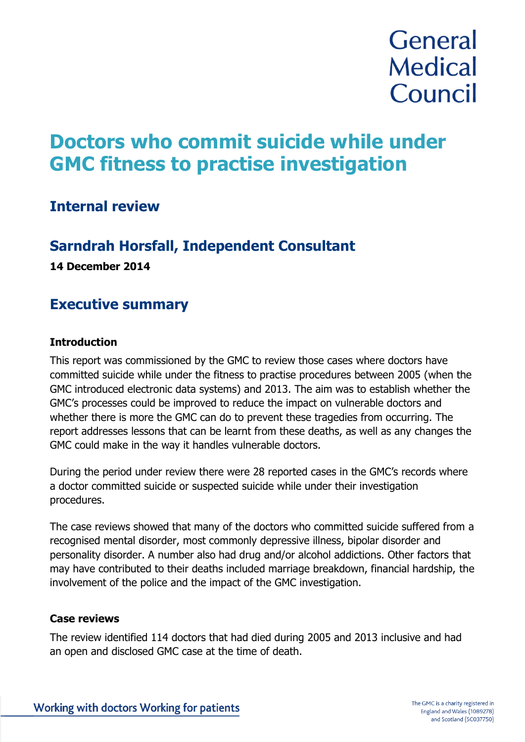# **General Medical** Council

# **Doctors who commit suicide while under GMC fitness to practise investigation**

# **Internal review**

# **Sarndrah Horsfall, Independent Consultant**

**14 December 2014**

# **Executive summary**

### **Introduction**

This report was commissioned by the GMC to review those cases where doctors have committed suicide while under the fitness to practise procedures between 2005 (when the GMC introduced electronic data systems) and 2013. The aim was to establish whether the GMC's processes could be improved to reduce the impact on vulnerable doctors and whether there is more the GMC can do to prevent these tragedies from occurring. The report addresses lessons that can be learnt from these deaths, as well as any changes the GMC could make in the way it handles vulnerable doctors.

During the period under review there were 28 reported cases in the GMC's records where a doctor committed suicide or suspected suicide while under their investigation procedures.

The case reviews showed that many of the doctors who committed suicide suffered from a recognised mental disorder, most commonly depressive illness, bipolar disorder and personality disorder. A number also had drug and/or alcohol addictions. Other factors that may have contributed to their deaths included marriage breakdown, financial hardship, the involvement of the police and the impact of the GMC investigation.

### **Case reviews**

The review identified 114 doctors that had died during 2005 and 2013 inclusive and had an open and disclosed GMC case at the time of death.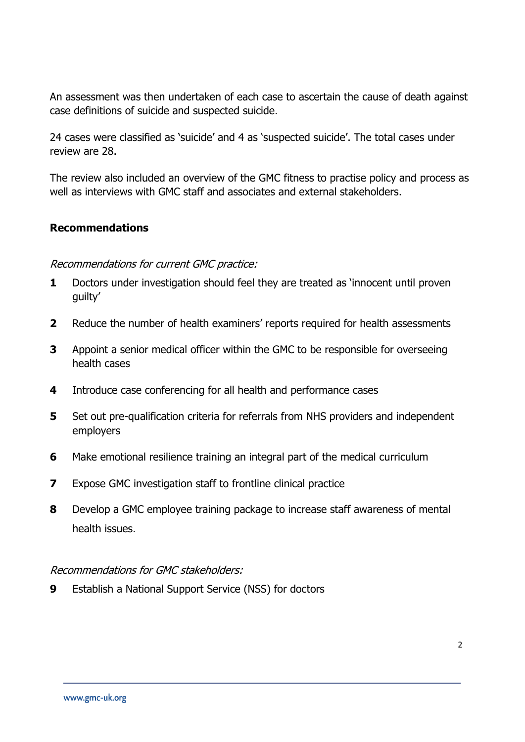An assessment was then undertaken of each case to ascertain the cause of death against case definitions of suicide and suspected suicide.

24 cases were classified as 'suicide' and 4 as 'suspected suicide'. The total cases under review are 28.

The review also included an overview of the GMC fitness to practise policy and process as well as interviews with GMC staff and associates and external stakeholders.

#### **Recommendations**

#### Recommendations for current GMC practice:

- **1** Doctors under investigation should feel they are treated as 'innocent until proven guilty'
- **2** Reduce the number of health examiners' reports required for health assessments
- **3** Appoint a senior medical officer within the GMC to be responsible for overseeing health cases
- **4** Introduce case conferencing for all health and performance cases
- **5** Set out pre-qualification criteria for referrals from NHS providers and independent employers
- **6** Make emotional resilience training an integral part of the medical curriculum
- **7** Expose GMC investigation staff to frontline clinical practice
- **8** Develop a GMC employee training package to increase staff awareness of mental health issues.

### Recommendations for GMC stakeholders:

**9** Establish a National Support Service (NSS) for doctors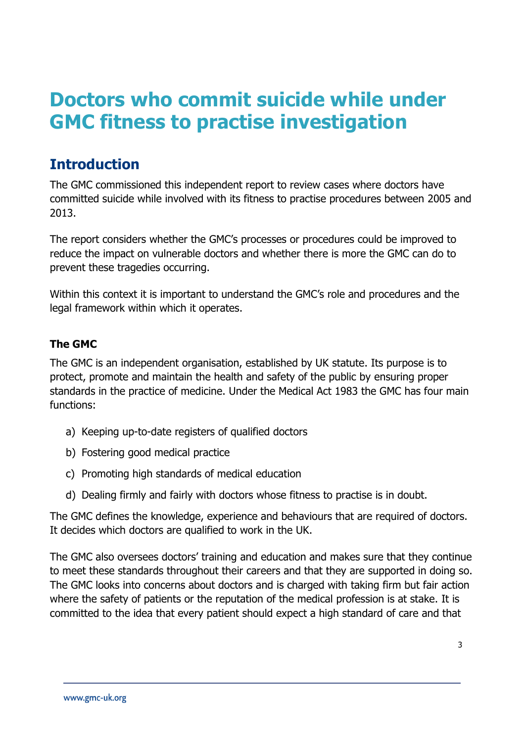# **Doctors who commit suicide while under GMC fitness to practise investigation**

# **Introduction**

The GMC commissioned this independent report to review cases where doctors have committed suicide while involved with its fitness to practise procedures between 2005 and 2013.

The report considers whether the GMC's processes or procedures could be improved to reduce the impact on vulnerable doctors and whether there is more the GMC can do to prevent these tragedies occurring.

Within this context it is important to understand the GMC's role and procedures and the legal framework within which it operates.

# **The GMC**

The GMC is an independent organisation, established by UK statute. Its purpose is to protect, promote and maintain the health and safety of the public by ensuring proper standards in the practice of medicine. Under the Medical Act 1983 the GMC has four main functions:

- a) Keeping up-to-date registers of qualified doctors
- b) Fostering good medical practice
- c) Promoting high standards of medical education
- d) Dealing firmly and fairly with doctors whose fitness to practise is in doubt.

The GMC defines the knowledge, experience and behaviours that are required of doctors. It decides which doctors are qualified to work in the UK.

The GMC also oversees doctors' training and education and makes sure that they continue to meet these standards throughout their careers and that they are supported in doing so. The GMC looks into concerns about doctors and is charged with taking firm but fair action where the safety of patients or the reputation of the medical profession is at stake. It is committed to the idea that every patient should expect a high standard of care and that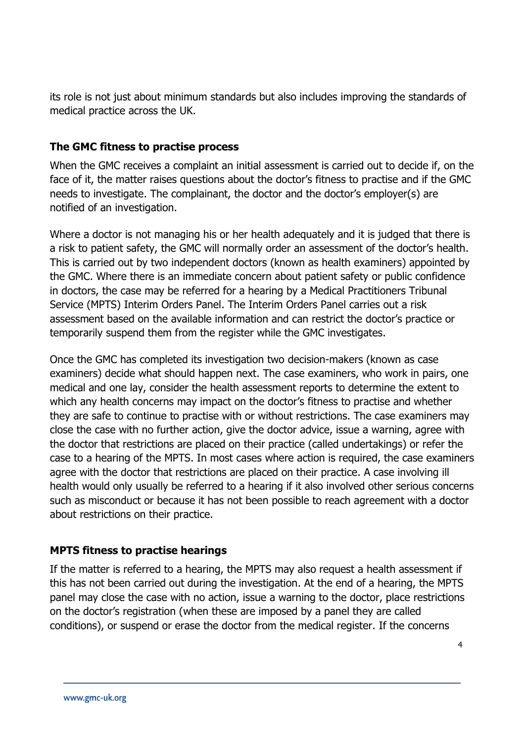its role is not just about minimum standards but also includes improving the standards of medical practice across the UK.

### **The GMC fitness to practise process**

When the GMC receives a complaint an initial assessment is carried out to decide if, on the face of it, the matter raises questions about the doctor's fitness to practise and if the GMC needs to investigate. The complainant, the doctor and the doctor's employer(s) are notified of an investigation.

Where a doctor is not managing his or her health adequately and it is judged that there is a risk to patient safety, the GMC will normally order an assessment of the doctor's health. This is carried out by two independent doctors (known as health examiners) appointed by the GMC. Where there is an immediate concern about patient safety or public confidence in doctors, the case may be referred for a hearing by a Medical Practitioners Tribunal Service (MPTS) Interim Orders Panel. The Interim Orders Panel carries out a risk assessment based on the available information and can restrict the doctor's practice or temporarily suspend them from the register while the GMC investigates.

Once the GMC has completed its investigation two decision-makers (known as case examiners) decide what should happen next. The case examiners, who work in pairs, one medical and one lay, consider the health assessment reports to determine the extent to which any health concerns may impact on the doctor's fitness to practise and whether they are safe to continue to practise with or without restrictions. The case examiners may close the case with no further action, give the doctor advice, issue a warning, agree with the doctor that restrictions are placed on their practice (called undertakings) or refer the case to a hearing of the MPTS. In most cases where action is required, the case examiners agree with the doctor that restrictions are placed on their practice. A case involving ill health would only usually be referred to a hearing if it also involved other serious concerns such as misconduct or because it has not been possible to reach agreement with a doctor about restrictions on their practice.

### **MPTS fitness to practise hearings**

If the matter is referred to a hearing, the MPTS may also request a health assessment if this has not been carried out during the investigation. At the end of a hearing, the MPTS panel may close the case with no action, issue a warning to the doctor, place restrictions on the doctor's registration (when these are imposed by a panel they are called conditions), or suspend or erase the doctor from the medical register. If the concerns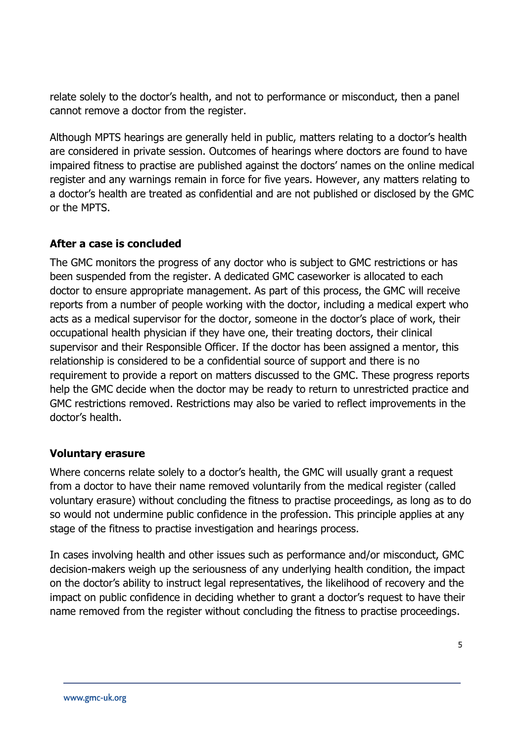relate solely to the doctor's health, and not to performance or misconduct, then a panel cannot remove a doctor from the register.

Although MPTS hearings are generally held in public, matters relating to a doctor's health are considered in private session. Outcomes of hearings where doctors are found to have impaired fitness to practise are published against the doctors' names on the online medical register and any warnings remain in force for five years. However, any matters relating to a doctor's health are treated as confidential and are not published or disclosed by the GMC or the MPTS.

### **After a case is concluded**

The GMC monitors the progress of any doctor who is subject to GMC restrictions or has been suspended from the register. A dedicated GMC caseworker is allocated to each doctor to ensure appropriate management. As part of this process, the GMC will receive reports from a number of people working with the doctor, including a medical expert who acts as a medical supervisor for the doctor, someone in the doctor's place of work, their occupational health physician if they have one, their treating doctors, their clinical supervisor and their Responsible Officer. If the doctor has been assigned a mentor, this relationship is considered to be a confidential source of support and there is no requirement to provide a report on matters discussed to the GMC. These progress reports help the GMC decide when the doctor may be ready to return to unrestricted practice and GMC restrictions removed. Restrictions may also be varied to reflect improvements in the doctor's health.

### **Voluntary erasure**

Where concerns relate solely to a doctor's health, the GMC will usually grant a request from a doctor to have their name removed voluntarily from the medical register (called voluntary erasure) without concluding the fitness to practise proceedings, as long as to do so would not undermine public confidence in the profession. This principle applies at any stage of the fitness to practise investigation and hearings process.

In cases involving health and other issues such as performance and/or misconduct, GMC decision-makers weigh up the seriousness of any underlying health condition, the impact on the doctor's ability to instruct legal representatives, the likelihood of recovery and the impact on public confidence in deciding whether to grant a doctor's request to have their name removed from the register without concluding the fitness to practise proceedings.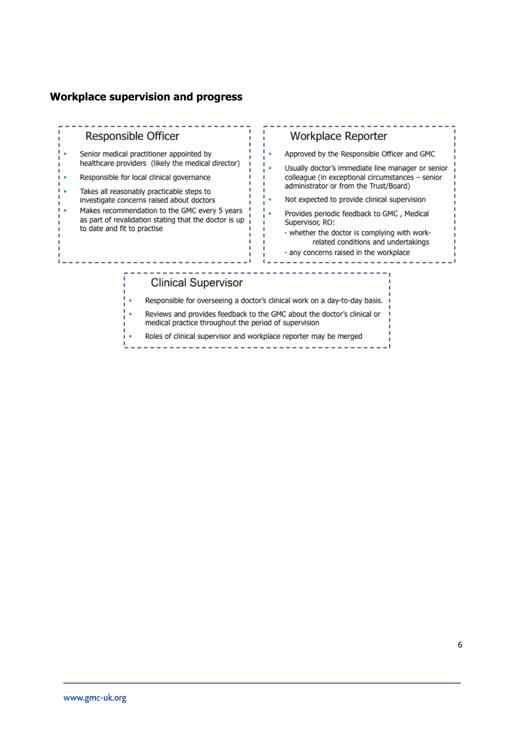#### **Workplace supervision and progress**

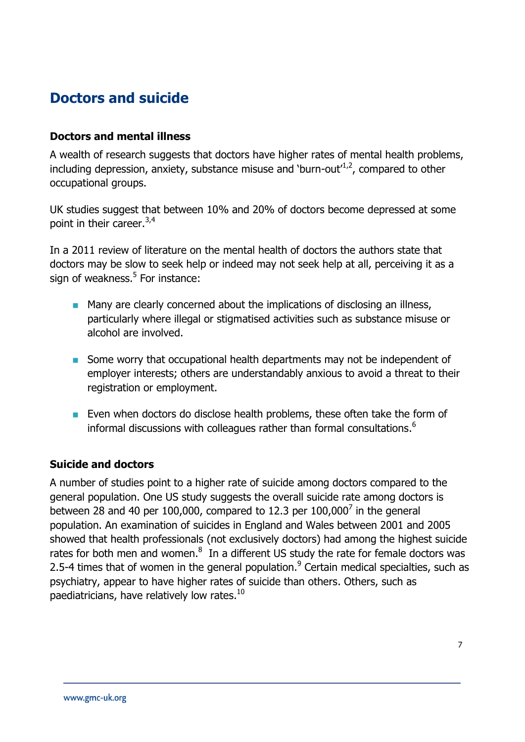# **Doctors and suicide**

#### **Doctors and mental illness**

A wealth of research suggests that doctors have higher rates of mental health problems, including depression, anxiety, substance misuse and 'burn-out' $1/2$ , compared to other occupational groups.

UK studies suggest that between 10% and 20% of doctors become depressed at some point in their career. 3,4

In a 2011 review of literature on the mental health of doctors the authors state that doctors may be slow to seek help or indeed may not seek help at all, perceiving it as a sign of weakness.<sup>5</sup> For instance:

- **Many are clearly concerned about the implications of disclosing an illness,** particularly where illegal or stigmatised activities such as substance misuse or alcohol are involved.
- Some worry that occupational health departments may not be independent of employer interests; others are understandably anxious to avoid a threat to their registration or employment.
- **Even when doctors do disclose health problems, these often take the form of** informal discussions with colleagues rather than formal consultations.<sup>6</sup>

### **Suicide and doctors**

A number of studies point to a higher rate of suicide among doctors compared to the general population. One US study suggests the overall suicide rate among doctors is between 28 and 40 per 100,000, compared to 12.3 per  $100,000^7$  in the general population. An examination of suicides in England and Wales between 2001 and 2005 showed that health professionals (not exclusively doctors) had among the highest suicide rates for both men and women. $<sup>8</sup>$  In a different US study the rate for female doctors was</sup> 2.5-4 times that of women in the general population.<sup>9</sup> Certain medical specialties, such as psychiatry, appear to have higher rates of suicide than others. Others, such as paediatricians, have relatively low rates.<sup>10</sup>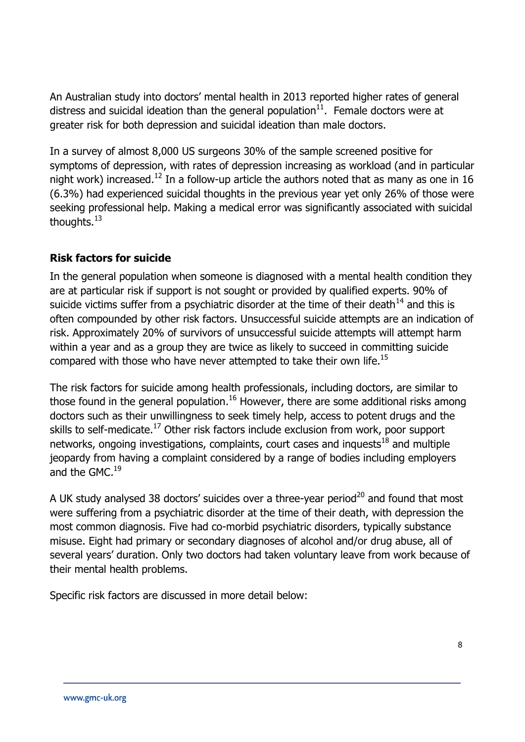An Australian study into doctors' mental health in 2013 reported higher rates of general distress and suicidal ideation than the general population $11$ . Female doctors were at greater risk for both depression and suicidal ideation than male doctors.

In a survey of almost 8,000 US surgeons 30% of the sample screened positive for symptoms of depression, with rates of depression increasing as workload (and in particular night work) increased.<sup>12</sup> In a follow-up article the authors noted that as many as one in 16 (6.3%) had experienced suicidal thoughts in the previous year yet only 26% of those were seeking professional help. Making a medical error was significantly associated with suicidal thoughts.<sup>13</sup>

### **Risk factors for suicide**

In the general population when someone is diagnosed with a mental health condition they are at particular risk if support is not sought or provided by qualified experts. 90% of suicide victims suffer from a psychiatric disorder at the time of their death $^{14}$  and this is often compounded by other risk factors. Unsuccessful suicide attempts are an indication of risk. Approximately 20% of survivors of unsuccessful suicide attempts will attempt harm within a year and as a group they are twice as likely to succeed in committing suicide compared with those who have never attempted to take their own life.<sup>15</sup>

The risk factors for suicide among health professionals, including doctors, are similar to those found in the general population.<sup>16</sup> However, there are some additional risks among doctors such as their unwillingness to seek timely help, access to potent drugs and the skills to self-medicate.<sup>17</sup> Other risk factors include exclusion from work, poor support networks, ongoing investigations, complaints, court cases and inquests $18$  and multiple jeopardy from having a complaint considered by a range of bodies including employers and the GMC.<sup>19</sup>

A UK study analysed 38 doctors' suicides over a three-year period<sup>20</sup> and found that most were suffering from a psychiatric disorder at the time of their death, with depression the most common diagnosis. Five had co-morbid psychiatric disorders, typically substance misuse. Eight had primary or secondary diagnoses of alcohol and/or drug abuse, all of several years' duration. Only two doctors had taken voluntary leave from work because of their mental health problems.

Specific risk factors are discussed in more detail below: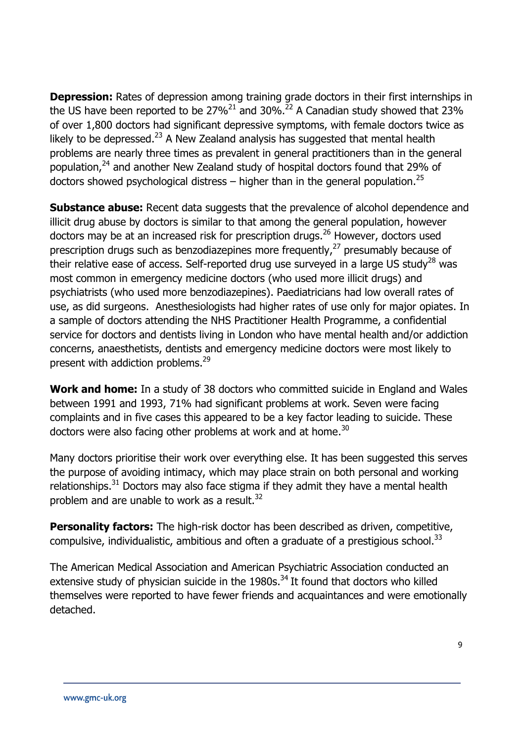**Depression:** Rates of depression among training grade doctors in their first internships in the US have been reported to be  $27\%^{21}$  and  $30\%^{22}$  A Canadian study showed that 23% of over 1,800 doctors had significant depressive symptoms, with female doctors twice as likely to be depressed. $^{23}$  A New Zealand analysis has suggested that mental health problems are nearly three times as prevalent in general practitioners than in the general population,<sup>24</sup> and another New Zealand study of hospital doctors found that 29% of doctors showed psychological distress – higher than in the general population.<sup>25</sup>

**Substance abuse:** Recent data suggests that the prevalence of alcohol dependence and illicit drug abuse by doctors is similar to that among the general population, however doctors may be at an increased risk for prescription drugs.<sup>26</sup> However, doctors used prescription drugs such as benzodiazepines more frequently,<sup>27</sup> presumably because of their relative ease of access. Self-reported drug use surveyed in a large US study<sup>28</sup> was most common in emergency medicine doctors (who used more illicit drugs) and psychiatrists (who used more benzodiazepines). Paediatricians had low overall rates of use, as did surgeons. Anesthesiologists had higher rates of use only for major opiates. In a sample of doctors attending the NHS Practitioner Health Programme, a confidential service for doctors and dentists living in London who have mental health and/or addiction concerns, anaesthetists, dentists and emergency medicine doctors were most likely to present with addiction problems.<sup>29</sup>

**Work and home:** In a study of 38 doctors who committed suicide in England and Wales between 1991 and 1993, 71% had significant problems at work. Seven were facing complaints and in five cases this appeared to be a key factor leading to suicide. These doctors were also facing other problems at work and at home.<sup>30</sup>

Many doctors prioritise their work over everything else. It has been suggested this serves the purpose of avoiding intimacy, which may place strain on both personal and working relationships. $31$  Doctors may also face stigma if they admit they have a mental health problem and are unable to work as a result.<sup>32</sup>

**Personality factors:** The high-risk doctor has been described as driven, competitive, compulsive, individualistic, ambitious and often a graduate of a prestigious school.<sup>33</sup>

The American Medical Association and American Psychiatric Association conducted an extensive study of physician suicide in the  $1980s<sup>34</sup>$  It found that doctors who killed themselves were reported to have fewer friends and acquaintances and were emotionally detached.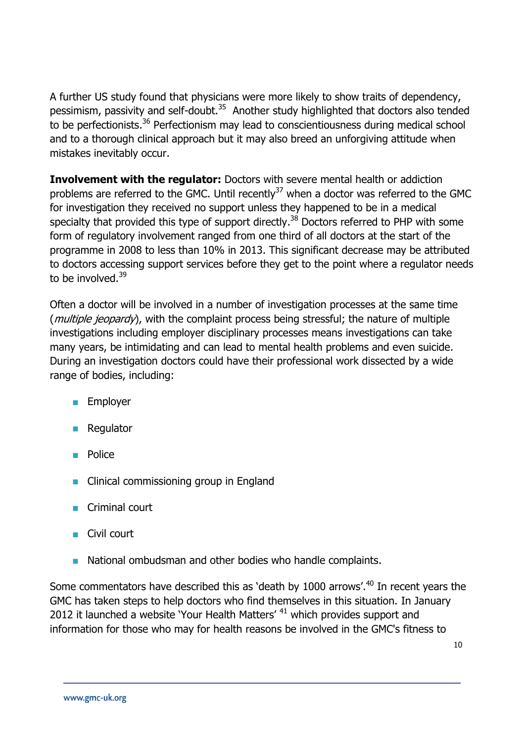A further US study found that physicians were more likely to show traits of dependency, pessimism, passivity and self-doubt.<sup>35</sup> Another study highlighted that doctors also tended to be perfectionists.<sup>36</sup> Perfectionism may lead to conscientiousness during medical school and to a thorough clinical approach but it may also breed an unforgiving attitude when mistakes inevitably occur.

**Involvement with the regulator:** Doctors with severe mental health or addiction problems are referred to the GMC. Until recently $^{37}$  when a doctor was referred to the GMC for investigation they received no support unless they happened to be in a medical specialty that provided this type of support directly.<sup>38</sup> Doctors referred to PHP with some form of regulatory involvement ranged from one third of all doctors at the start of the programme in 2008 to less than 10% in 2013. This significant decrease may be attributed to doctors accessing support services before they get to the point where a regulator needs to be involved. $39$ 

Often a doctor will be involved in a number of investigation processes at the same time (*multiple jeopardy*), with the complaint process being stressful; the nature of multiple investigations including employer disciplinary processes means investigations can take many years, be intimidating and can lead to mental health problems and even suicide. During an investigation doctors could have their professional work dissected by a wide range of bodies, including:

- **Employer**
- Regulator
- Police
- Clinical commissioning group in England
- Criminal court
- Civil court
- National ombudsman and other bodies who handle complaints.

Some commentators have described this as 'death by 1000 arrows'.<sup>40</sup> In recent years the GMC has taken steps to help doctors who find themselves in this situation. In January 2012 it launched a website 'Your Health Matters'  $41$  which provides support and information for those who may for health reasons be involved in the GMC's fitness to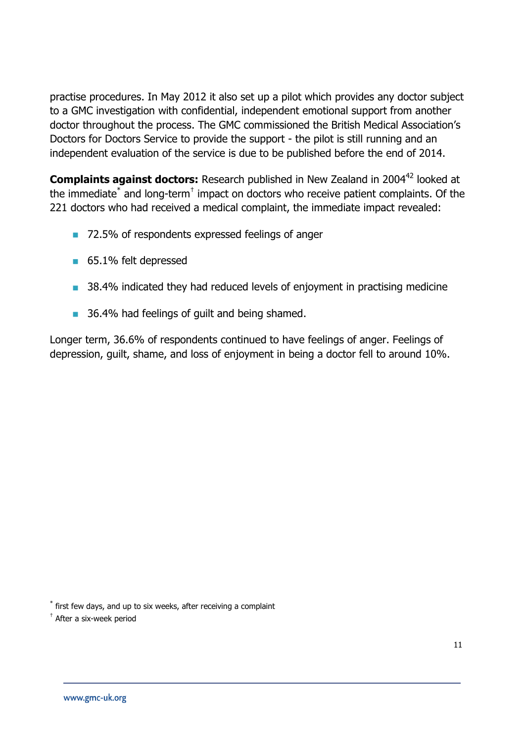practise procedures. In May 2012 it also set up a pilot which provides any doctor subject to a GMC investigation with confidential, independent emotional support from another doctor throughout the process. The GMC commissioned the British Medical Association's Doctors for Doctors Service to provide the support - the pilot is still running and an independent evaluation of the service is due to be published before the end of 2014.

**Complaints against doctors:** Research published in New Zealand in 2004<sup>42</sup> looked at the immediate $^*$  and long-term $^{\dagger}$  impact on doctors who receive patient complaints. Of the 221 doctors who had received a medical complaint, the immediate impact revealed:

- 72.5% of respondents expressed feelings of anger
- 65.1% felt depressed
- **38.4% indicated they had reduced levels of enjoyment in practising medicine**
- 36.4% had feelings of quilt and being shamed.

Longer term, 36.6% of respondents continued to have feelings of anger. Feelings of depression, guilt, shame, and loss of enjoyment in being a doctor fell to around 10%.

\* first few days, and up to six weeks, after receiving a complaint

† After a six-week period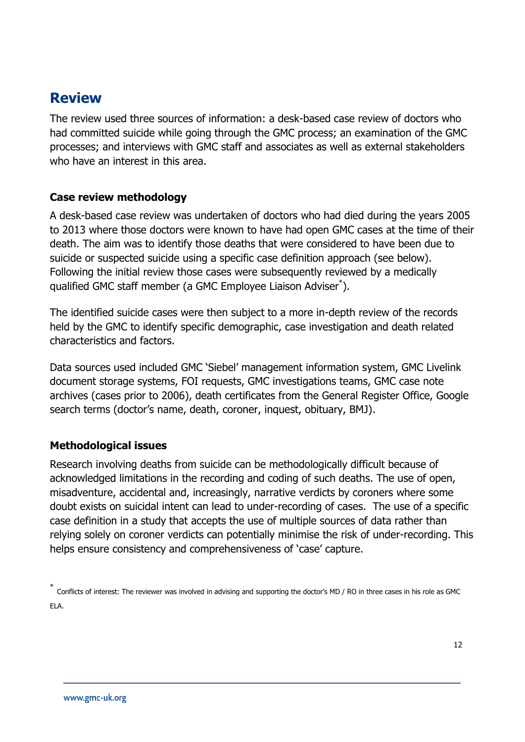# **Review**

The review used three sources of information: a desk-based case review of doctors who had committed suicide while going through the GMC process; an examination of the GMC processes; and interviews with GMC staff and associates as well as external stakeholders who have an interest in this area.

### **Case review methodology**

A desk-based case review was undertaken of doctors who had died during the years 2005 to 2013 where those doctors were known to have had open GMC cases at the time of their death. The aim was to identify those deaths that were considered to have been due to suicide or suspected suicide using a specific case definition approach (see below). Following the initial review those cases were subsequently reviewed by a medically qualified GMC staff member (a GMC Employee Liaison Adviser\* ).

The identified suicide cases were then subject to a more in-depth review of the records held by the GMC to identify specific demographic, case investigation and death related characteristics and factors.

Data sources used included GMC 'Siebel' management information system, GMC Livelink document storage systems, FOI requests, GMC investigations teams, GMC case note archives (cases prior to 2006), death certificates from the General Register Office, Google search terms (doctor's name, death, coroner, inquest, obituary, BMJ).

### **Methodological issues**

Research involving deaths from suicide can be methodologically difficult because of acknowledged limitations in the recording and coding of such deaths. The use of open, misadventure, accidental and, increasingly, narrative verdicts by coroners where some doubt exists on suicidal intent can lead to under-recording of cases. The use of a specific case definition in a study that accepts the use of multiple sources of data rather than relying solely on coroner verdicts can potentially minimise the risk of under-recording. This helps ensure consistency and comprehensiveness of 'case' capture.

<sup>\*</sup> Conflicts of interest: The reviewer was involved in advising and supporting the doctor's MD / RO in three cases in his role as GMC ELA.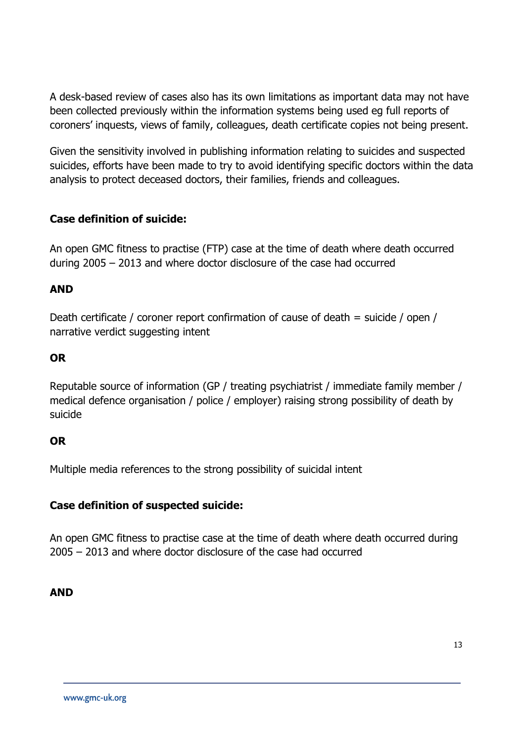A desk-based review of cases also has its own limitations as important data may not have been collected previously within the information systems being used eg full reports of coroners' inquests, views of family, colleagues, death certificate copies not being present.

Given the sensitivity involved in publishing information relating to suicides and suspected suicides, efforts have been made to try to avoid identifying specific doctors within the data analysis to protect deceased doctors, their families, friends and colleagues.

### **Case definition of suicide:**

An open GMC fitness to practise (FTP) case at the time of death where death occurred during 2005 – 2013 and where doctor disclosure of the case had occurred

### **AND**

Death certificate / coroner report confirmation of cause of death = suicide / open / narrative verdict suggesting intent

### **OR**

Reputable source of information (GP / treating psychiatrist / immediate family member / medical defence organisation / police / employer) raising strong possibility of death by suicide

### **OR**

Multiple media references to the strong possibility of suicidal intent

### **Case definition of suspected suicide:**

An open GMC fitness to practise case at the time of death where death occurred during 2005 – 2013 and where doctor disclosure of the case had occurred

### **AND**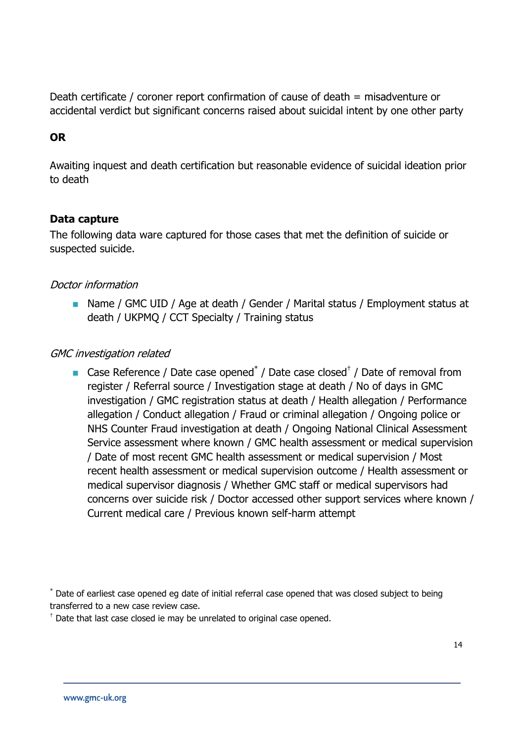Death certificate / coroner report confirmation of cause of death = misadventure or accidental verdict but significant concerns raised about suicidal intent by one other party

### **OR**

Awaiting inquest and death certification but reasonable evidence of suicidal ideation prior to death

#### **Data capture**

The following data ware captured for those cases that met the definition of suicide or suspected suicide.

### Doctor information

■ Name / GMC UID / Age at death / Gender / Marital status / Employment status at death / UKPMQ / CCT Specialty / Training status

#### GMC investigation related

■ Case Reference / Date case opened<sup>\*</sup> / Date case closed<sup>†</sup> / Date of removal from register / Referral source / Investigation stage at death / No of days in GMC investigation / GMC registration status at death / Health allegation / Performance allegation / Conduct allegation / Fraud or criminal allegation / Ongoing police or NHS Counter Fraud investigation at death / Ongoing National Clinical Assessment Service assessment where known / GMC health assessment or medical supervision / Date of most recent GMC health assessment or medical supervision / Most recent health assessment or medical supervision outcome / Health assessment or medical supervisor diagnosis / Whether GMC staff or medical supervisors had concerns over suicide risk / Doctor accessed other support services where known / Current medical care / Previous known self-harm attempt

\* Date of earliest case opened eg date of initial referral case opened that was closed subject to being transferred to a new case review case.

 $<sup>†</sup>$  Date that last case closed ie may be unrelated to original case opened.</sup>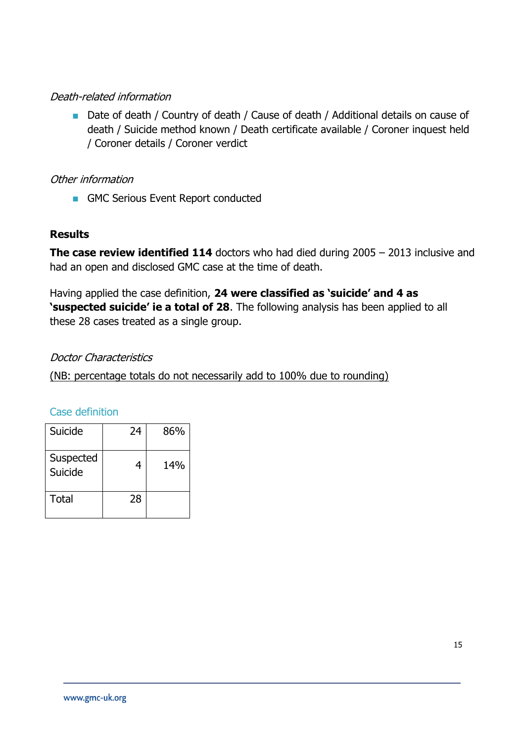### Death-related information

■ Date of death / Country of death / Cause of death / Additional details on cause of death / Suicide method known / Death certificate available / Coroner inquest held / Coroner details / Coroner verdict

### Other information

GMC Serious Event Report conducted

### **Results**

**The case review identified 114** doctors who had died during 2005 – 2013 inclusive and had an open and disclosed GMC case at the time of death.

Having applied the case definition, **24 were classified as 'suicide' and 4 as 'suspected suicide' ie a total of 28**. The following analysis has been applied to all these 28 cases treated as a single group.

### Doctor Characteristics

(NB: percentage totals do not necessarily add to 100% due to rounding)

### Case definition

| Suicide              | 24 | 86% |
|----------------------|----|-----|
| Suspected<br>Suicide | 4  | 14% |
| Total                | 28 |     |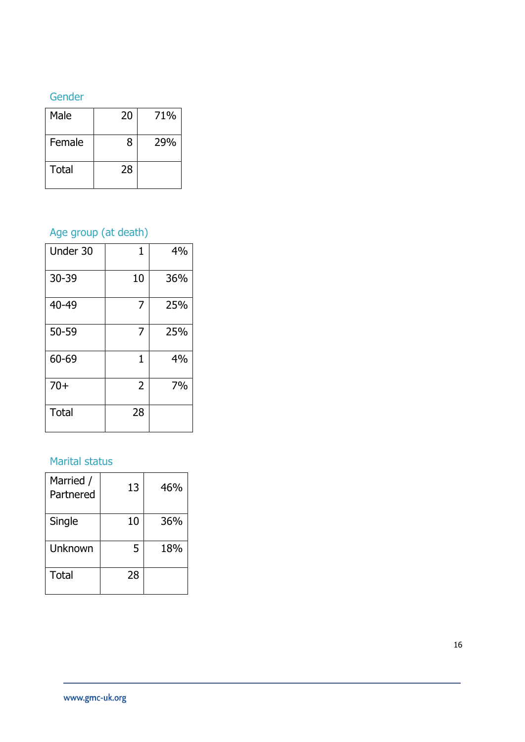### Gender

| Male   | 20 | 71% |
|--------|----|-----|
| Female | 8  | 29% |
| Total  | 28 |     |

# Age group (at death)

| Under 30     | 1              | 4%  |
|--------------|----------------|-----|
| 30-39        | 10             | 36% |
| 40-49        | 7              | 25% |
| 50-59        | 7              | 25% |
| 60-69        | 1              | 4%  |
| $70+$        | $\overline{2}$ | 7%  |
| <b>Total</b> | 28             |     |

### Marital status

| Married /<br>Partnered | 13 | 46% |
|------------------------|----|-----|
| Single                 | 10 | 36% |
| Unknown                | 5  | 18% |
| <b>Total</b>           | 28 |     |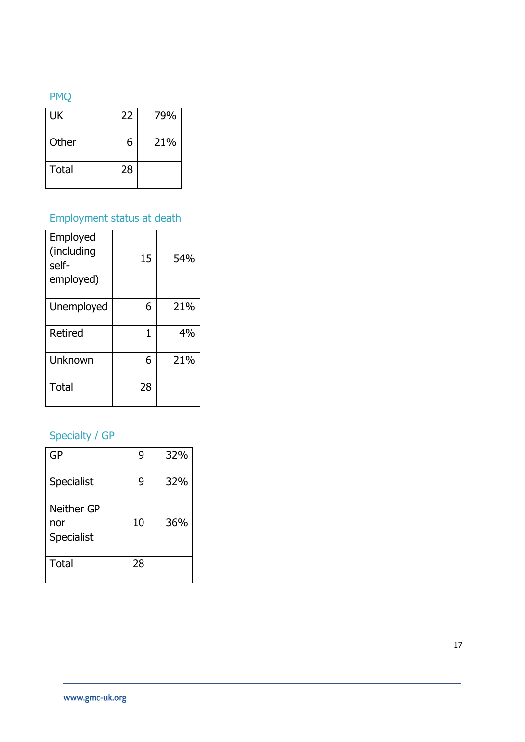# PMQ

| UK    | 22 | 79% |
|-------|----|-----|
| Other | 6  | 21% |
| Total | 28 |     |

# Employment status at death

| Employed<br>(including<br>self-<br>employed) | 15 | 54% |
|----------------------------------------------|----|-----|
| Unemployed                                   | 6  | 21% |
| Retired                                      | 1  | 4%  |
| Unknown                                      | 6  | 21% |
| <b>Total</b>                                 | 28 |     |

# Specialty / GP

| GP                                            | 9  | 32% |
|-----------------------------------------------|----|-----|
| <b>Specialist</b>                             | 9  | 32% |
| <b>Neither GP</b><br>nor<br><b>Specialist</b> | 10 | 36% |
| Total                                         | 28 |     |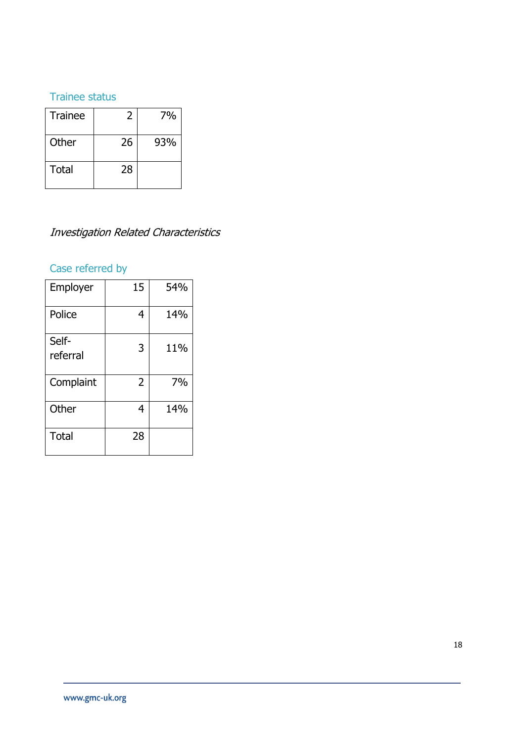# Trainee status

| <b>Trainee</b> | 2  | 7%  |
|----------------|----|-----|
| Other          | 26 | 93% |
| <b>Total</b>   | 28 |     |

# Investigation Related Characteristics

# Case referred by

| Employer          | 15             | 54% |
|-------------------|----------------|-----|
| Police            | 4              | 14% |
| Self-<br>referral | 3              | 11% |
| Complaint         | $\overline{2}$ | 7%  |
| Other             | 4              | 14% |
| Total             | 28             |     |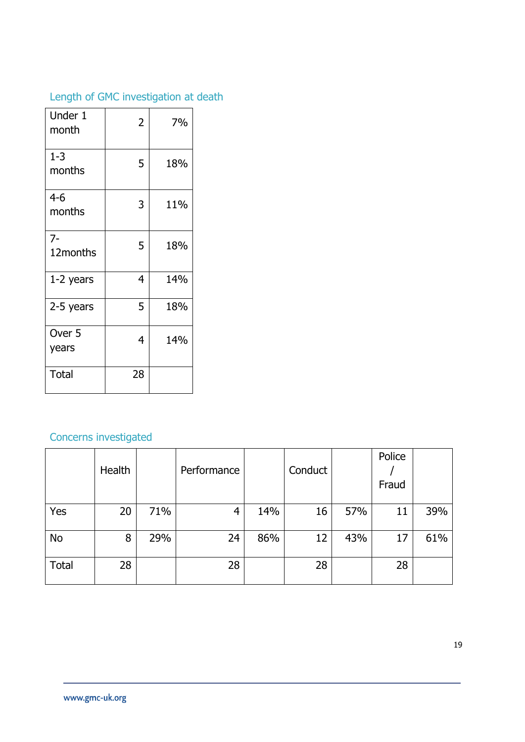# Length of GMC investigation at death

| Under 1<br>month           | 2  | 7%  |
|----------------------------|----|-----|
| $1 - 3$<br>months          | 5  | 18% |
| 4-6<br>months              | 3  | 11% |
| $7 -$<br>12months          | 5  | 18% |
| 1-2 years                  | 4  | 14% |
| 2-5 years                  | 5  | 18% |
| Over <sub>5</sub><br>years | 4  | 14% |
| <b>Total</b>               | 28 |     |

# Concerns investigated

|              | Health |     | Performance |     | Conduct |     | Police<br>Fraud |     |
|--------------|--------|-----|-------------|-----|---------|-----|-----------------|-----|
| Yes          | 20     | 71% | 4           | 14% | 16      | 57% | 11              | 39% |
| <b>No</b>    | 8      | 29% | 24          | 86% | 12      | 43% | 17              | 61% |
| <b>Total</b> | 28     |     | 28          |     | 28      |     | 28              |     |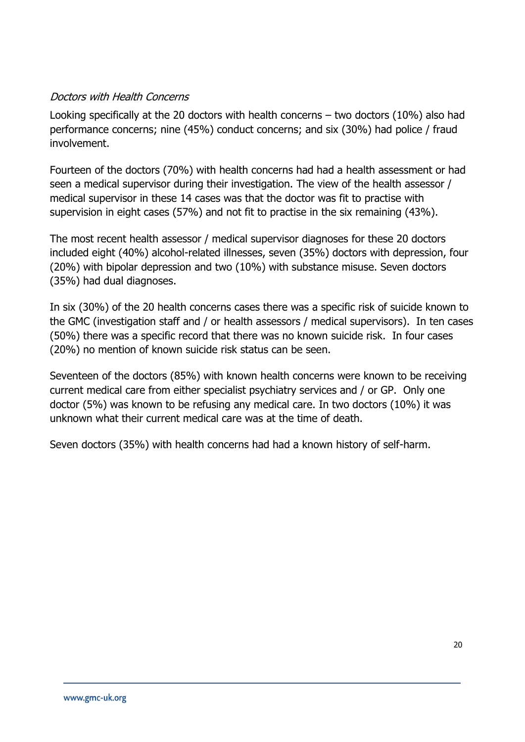### Doctors with Health Concerns

Looking specifically at the 20 doctors with health concerns  $-$  two doctors (10%) also had performance concerns; nine (45%) conduct concerns; and six (30%) had police / fraud involvement.

Fourteen of the doctors (70%) with health concerns had had a health assessment or had seen a medical supervisor during their investigation. The view of the health assessor / medical supervisor in these 14 cases was that the doctor was fit to practise with supervision in eight cases (57%) and not fit to practise in the six remaining (43%).

The most recent health assessor / medical supervisor diagnoses for these 20 doctors included eight (40%) alcohol-related illnesses, seven (35%) doctors with depression, four (20%) with bipolar depression and two (10%) with substance misuse. Seven doctors (35%) had dual diagnoses.

In six (30%) of the 20 health concerns cases there was a specific risk of suicide known to the GMC (investigation staff and / or health assessors / medical supervisors). In ten cases (50%) there was a specific record that there was no known suicide risk. In four cases (20%) no mention of known suicide risk status can be seen.

Seventeen of the doctors (85%) with known health concerns were known to be receiving current medical care from either specialist psychiatry services and / or GP. Only one doctor (5%) was known to be refusing any medical care. In two doctors (10%) it was unknown what their current medical care was at the time of death.

Seven doctors (35%) with health concerns had had a known history of self-harm.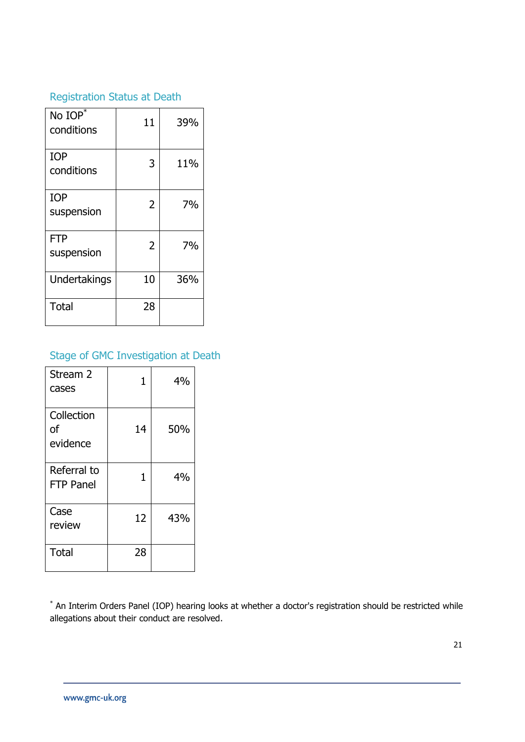# Registration Status at Death

| No IOP*<br>conditions    | 11             | 39% |
|--------------------------|----------------|-----|
| <b>IOP</b><br>conditions | 3              | 11% |
| <b>IOP</b><br>suspension | 2              | 7%  |
| <b>FTP</b><br>suspension | $\overline{2}$ | 7%  |
| Undertakings             | 10             | 36% |
| <b>Total</b>             | 28             |     |

# Stage of GMC Investigation at Death

| Stream 2<br>cases            | 1  | 4%  |
|------------------------------|----|-----|
| Collection<br>οf<br>evidence | 14 | 50% |
| Referral to<br>FTP Panel     | 1  | 4%  |
| Case<br>review               | 12 | 43% |
| <b>Total</b>                 | 28 |     |

\* An Interim Orders Panel (IOP) hearing looks at whether a doctor's registration should be restricted while allegations about their conduct are resolved.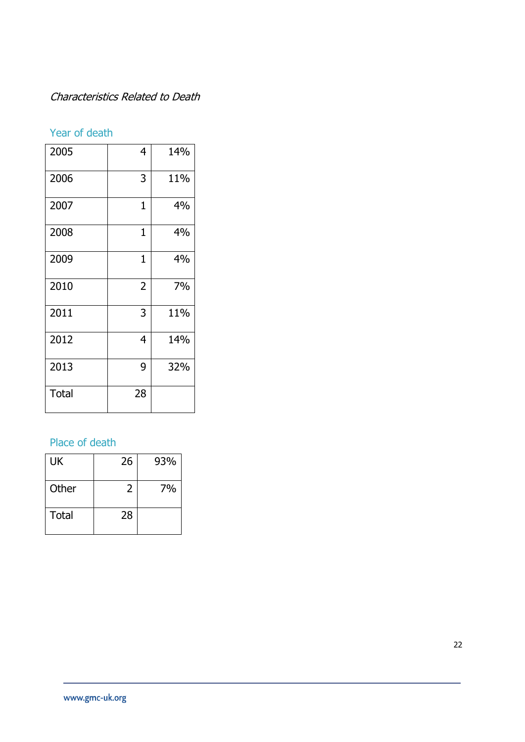# Characteristics Related to Death

# Year of death

| 2005         | 4              | 14% |
|--------------|----------------|-----|
| 2006         | 3              | 11% |
| 2007         | 1              | 4%  |
| 2008         | 1              | 4%  |
| 2009         | 1              | 4%  |
| 2010         | $\overline{2}$ | 7%  |
| 2011         | 3              | 11% |
| 2012         | 4              | 14% |
| 2013         | 9              | 32% |
| <b>Total</b> | 28             |     |

# Place of death

| UK    | 26 | 93% |
|-------|----|-----|
| Other | 2  | 7%  |
| Total | 28 |     |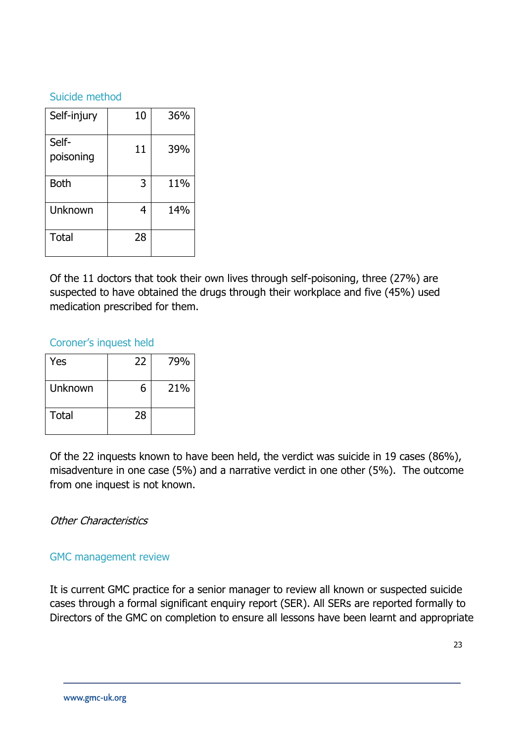#### Suicide method

| Self-injury        | 10 | 36% |
|--------------------|----|-----|
| Self-<br>poisoning | 11 | 39% |
| <b>Both</b>        | 3  | 11% |
| Unknown            | 4  | 14% |
| <b>Total</b>       | 28 |     |

Of the 11 doctors that took their own lives through self-poisoning, three (27%) are suspected to have obtained the drugs through their workplace and five (45%) used medication prescribed for them.

### Coroner's inquest held

| Yes          | 22 | 79% |
|--------------|----|-----|
| Unknown      | 6  | 21% |
| <b>Total</b> | 28 |     |

Of the 22 inquests known to have been held, the verdict was suicide in 19 cases (86%), misadventure in one case (5%) and a narrative verdict in one other (5%). The outcome from one inquest is not known.

### Other Characteristics

### GMC management review

It is current GMC practice for a senior manager to review all known or suspected suicide cases through a formal significant enquiry report (SER). All SERs are reported formally to Directors of the GMC on completion to ensure all lessons have been learnt and appropriate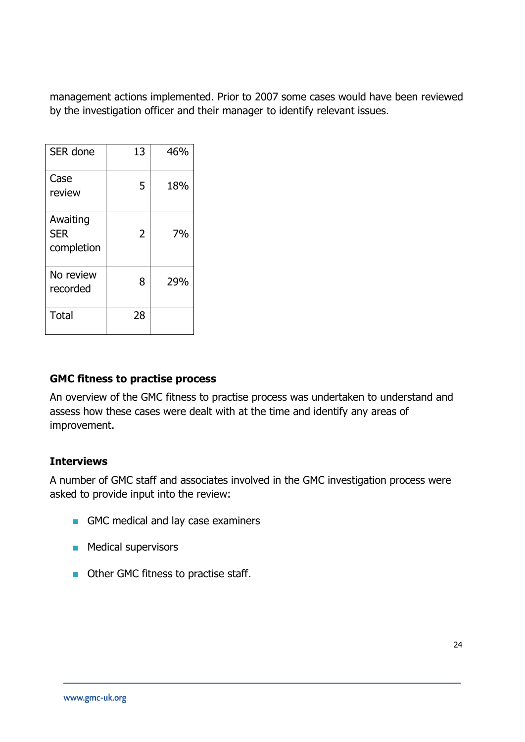management actions implemented. Prior to 2007 some cases would have been reviewed by the investigation officer and their manager to identify relevant issues.

| SER done                             | 13 | 46% |
|--------------------------------------|----|-----|
| Case<br>review                       | 5  | 18% |
| Awaiting<br><b>SER</b><br>completion | 2  | 7%  |
| No review<br>recorded                | 8  | 29% |
| Total                                | 28 |     |

### **GMC fitness to practise process**

An overview of the GMC fitness to practise process was undertaken to understand and assess how these cases were dealt with at the time and identify any areas of improvement.

### **Interviews**

A number of GMC staff and associates involved in the GMC investigation process were asked to provide input into the review:

- GMC medical and lay case examiners
- **Medical supervisors**
- **Other GMC fitness to practise staff.**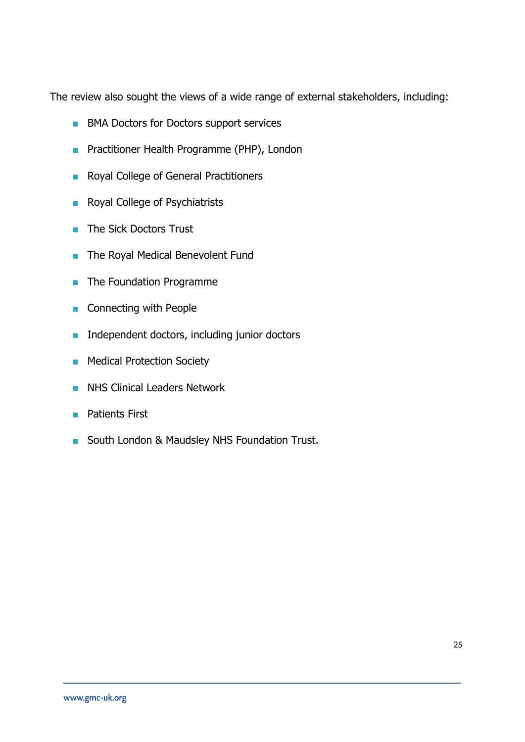The review also sought the views of a wide range of external stakeholders, including:

- **BMA Doctors for Doctors support services**
- **Practitioner Health Programme (PHP), London**
- Royal College of General Practitioners
- Royal College of Psychiatrists
- The Sick Doctors Trust
- **The Royal Medical Benevolent Fund**
- **The Foundation Programme**
- Connecting with People
- **Independent doctors, including junior doctors**
- **Medical Protection Society**
- **NHS Clinical Leaders Network**
- **Patients First**
- South London & Maudsley NHS Foundation Trust.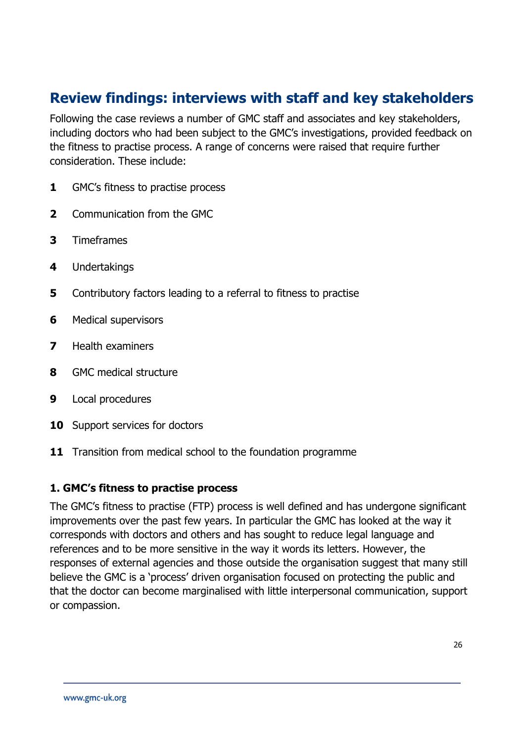# **Review findings: interviews with staff and key stakeholders**

Following the case reviews a number of GMC staff and associates and key stakeholders, including doctors who had been subject to the GMC's investigations, provided feedback on the fitness to practise process. A range of concerns were raised that require further consideration. These include:

- **1** GMC's fitness to practise process
- **2** Communication from the GMC
- **3** Timeframes
- **4** Undertakings
- **5** Contributory factors leading to a referral to fitness to practise
- **6** Medical supervisors
- **7** Health examiners
- **8** GMC medical structure
- **9** Local procedures
- **10** Support services for doctors
- **11** Transition from medical school to the foundation programme

### **1. GMC's fitness to practise process**

The GMC's fitness to practise (FTP) process is well defined and has undergone significant improvements over the past few years. In particular the GMC has looked at the way it corresponds with doctors and others and has sought to reduce legal language and references and to be more sensitive in the way it words its letters. However, the responses of external agencies and those outside the organisation suggest that many still believe the GMC is a 'process' driven organisation focused on protecting the public and that the doctor can become marginalised with little interpersonal communication, support or compassion.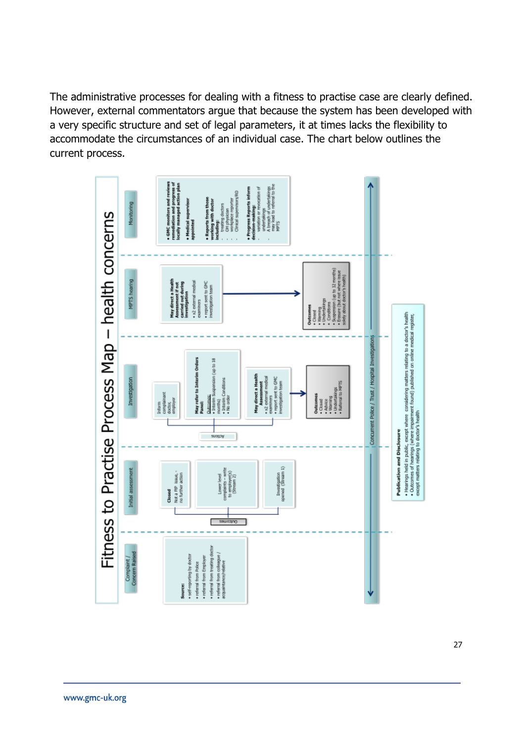The administrative processes for dealing with a fitness to practise case are clearly defined. However, external commentators argue that because the system has been developed with a very specific structure and set of legal parameters, it at times lacks the flexibility to accommodate the circumstances of an individual case. The chart below outlines the current process.

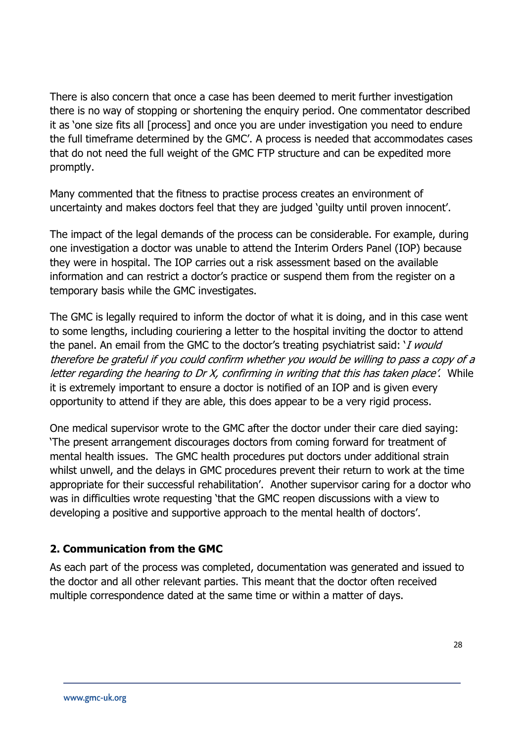There is also concern that once a case has been deemed to merit further investigation there is no way of stopping or shortening the enquiry period. One commentator described it as 'one size fits all [process] and once you are under investigation you need to endure the full timeframe determined by the GMC'. A process is needed that accommodates cases that do not need the full weight of the GMC FTP structure and can be expedited more promptly.

Many commented that the fitness to practise process creates an environment of uncertainty and makes doctors feel that they are judged 'guilty until proven innocent'.

The impact of the legal demands of the process can be considerable. For example, during one investigation a doctor was unable to attend the Interim Orders Panel (IOP) because they were in hospital. The IOP carries out a risk assessment based on the available information and can restrict a doctor's practice or suspend them from the register on a temporary basis while the GMC investigates.

The GMC is legally required to inform the doctor of what it is doing, and in this case went to some lengths, including couriering a letter to the hospital inviting the doctor to attend the panel. An email from the GMC to the doctor's treating psychiatrist said: '*I would* therefore be grateful if you could confirm whether you would be willing to pass a copy of a letter regarding the hearing to Dr X, confirming in writing that this has taken place'. While it is extremely important to ensure a doctor is notified of an IOP and is given every opportunity to attend if they are able, this does appear to be a very rigid process.

One medical supervisor wrote to the GMC after the doctor under their care died saying: 'The present arrangement discourages doctors from coming forward for treatment of mental health issues. The GMC health procedures put doctors under additional strain whilst unwell, and the delays in GMC procedures prevent their return to work at the time appropriate for their successful rehabilitation'. Another supervisor caring for a doctor who was in difficulties wrote requesting 'that the GMC reopen discussions with a view to developing a positive and supportive approach to the mental health of doctors'.

# **2. Communication from the GMC**

As each part of the process was completed, documentation was generated and issued to the doctor and all other relevant parties. This meant that the doctor often received multiple correspondence dated at the same time or within a matter of days.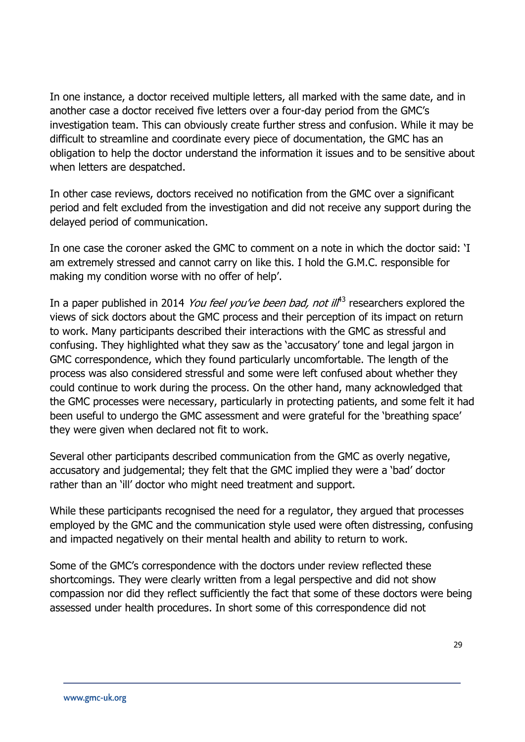In one instance, a doctor received multiple letters, all marked with the same date, and in another case a doctor received five letters over a four-day period from the GMC's investigation team. This can obviously create further stress and confusion. While it may be difficult to streamline and coordinate every piece of documentation, the GMC has an obligation to help the doctor understand the information it issues and to be sensitive about when letters are despatched.

In other case reviews, doctors received no notification from the GMC over a significant period and felt excluded from the investigation and did not receive any support during the delayed period of communication.

In one case the coroner asked the GMC to comment on a note in which the doctor said: 'I am extremely stressed and cannot carry on like this. I hold the G.M.C. responsible for making my condition worse with no offer of help'.

In a paper published in 2014 *You feel you've been bad, not ilf*<sup>13</sup> researchers explored the views of sick doctors about the GMC process and their perception of its impact on return to work. Many participants described their interactions with the GMC as stressful and confusing. They highlighted what they saw as the 'accusatory' tone and legal jargon in GMC correspondence, which they found particularly uncomfortable. The length of the process was also considered stressful and some were left confused about whether they could continue to work during the process. On the other hand, many acknowledged that the GMC processes were necessary, particularly in protecting patients, and some felt it had been useful to undergo the GMC assessment and were grateful for the 'breathing space' they were given when declared not fit to work.

Several other participants described communication from the GMC as overly negative, accusatory and judgemental; they felt that the GMC implied they were a 'bad' doctor rather than an 'ill' doctor who might need treatment and support.

While these participants recognised the need for a regulator, they argued that processes employed by the GMC and the communication style used were often distressing, confusing and impacted negatively on their mental health and ability to return to work.

Some of the GMC's correspondence with the doctors under review reflected these shortcomings. They were clearly written from a legal perspective and did not show compassion nor did they reflect sufficiently the fact that some of these doctors were being assessed under health procedures. In short some of this correspondence did not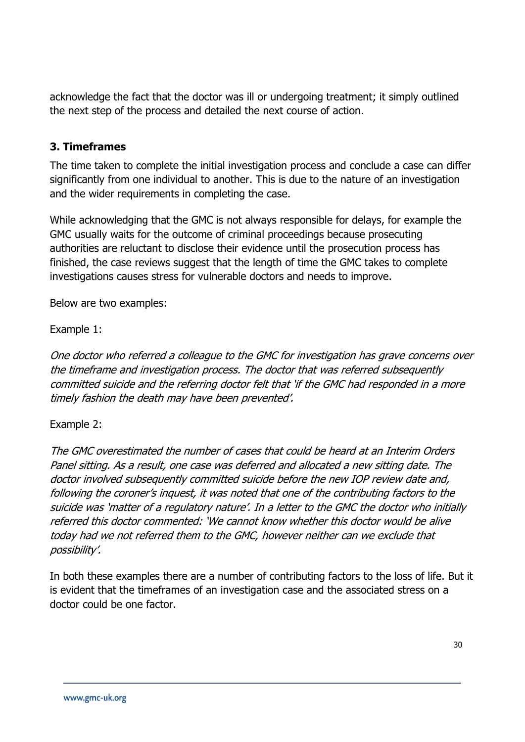acknowledge the fact that the doctor was ill or undergoing treatment; it simply outlined the next step of the process and detailed the next course of action.

### **3. Timeframes**

The time taken to complete the initial investigation process and conclude a case can differ significantly from one individual to another. This is due to the nature of an investigation and the wider requirements in completing the case.

While acknowledging that the GMC is not always responsible for delays, for example the GMC usually waits for the outcome of criminal proceedings because prosecuting authorities are reluctant to disclose their evidence until the prosecution process has finished, the case reviews suggest that the length of time the GMC takes to complete investigations causes stress for vulnerable doctors and needs to improve.

Below are two examples:

Example 1:

One doctor who referred a colleague to the GMC for investigation has grave concerns over the timeframe and investigation process. The doctor that was referred subsequently committed suicide and the referring doctor felt that 'if the GMC had responded in a more timely fashion the death may have been prevented'.

### Example 2:

The GMC overestimated the number of cases that could be heard at an Interim Orders Panel sitting. As a result, one case was deferred and allocated a new sitting date. The doctor involved subsequently committed suicide before the new IOP review date and, following the coroner's inquest, it was noted that one of the contributing factors to the suicide was 'matter of a regulatory nature'. In a letter to the GMC the doctor who initially referred this doctor commented: 'We cannot know whether this doctor would be alive today had we not referred them to the GMC, however neither can we exclude that possibility'.

In both these examples there are a number of contributing factors to the loss of life. But it is evident that the timeframes of an investigation case and the associated stress on a doctor could be one factor.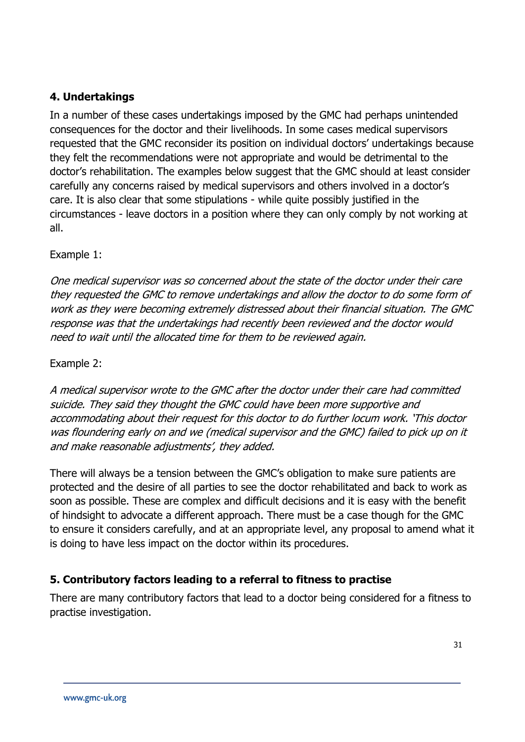### **4. Undertakings**

In a number of these cases undertakings imposed by the GMC had perhaps unintended consequences for the doctor and their livelihoods. In some cases medical supervisors requested that the GMC reconsider its position on individual doctors' undertakings because they felt the recommendations were not appropriate and would be detrimental to the doctor's rehabilitation. The examples below suggest that the GMC should at least consider carefully any concerns raised by medical supervisors and others involved in a doctor's care. It is also clear that some stipulations - while quite possibly justified in the circumstances - leave doctors in a position where they can only comply by not working at all.

### Example 1:

One medical supervisor was so concerned about the state of the doctor under their care they requested the GMC to remove undertakings and allow the doctor to do some form of work as they were becoming extremely distressed about their financial situation. The GMC response was that the undertakings had recently been reviewed and the doctor would need to wait until the allocated time for them to be reviewed again.

### Example 2:

A medical supervisor wrote to the GMC after the doctor under their care had committed suicide. They said they thought the GMC could have been more supportive and accommodating about their request for this doctor to do further locum work. 'This doctor was floundering early on and we (medical supervisor and the GMC) failed to pick up on it and make reasonable adjustments', they added.

There will always be a tension between the GMC's obligation to make sure patients are protected and the desire of all parties to see the doctor rehabilitated and back to work as soon as possible. These are complex and difficult decisions and it is easy with the benefit of hindsight to advocate a different approach. There must be a case though for the GMC to ensure it considers carefully, and at an appropriate level, any proposal to amend what it is doing to have less impact on the doctor within its procedures.

### **5. Contributory factors leading to a referral to fitness to practise**

There are many contributory factors that lead to a doctor being considered for a fitness to practise investigation.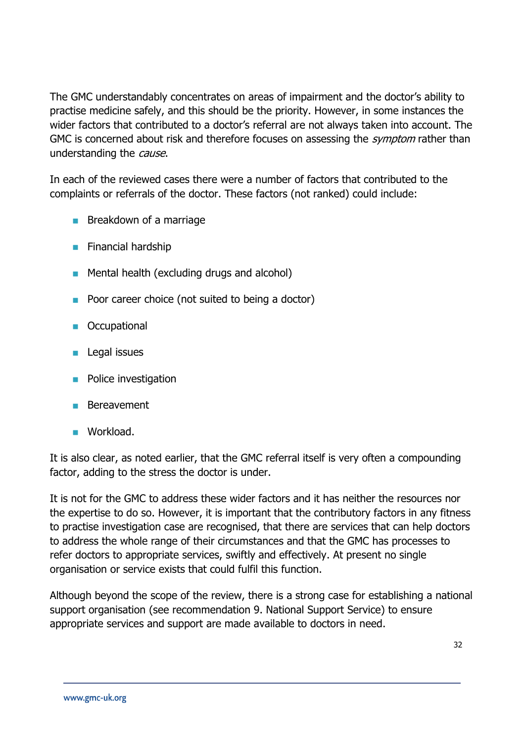The GMC understandably concentrates on areas of impairment and the doctor's ability to practise medicine safely, and this should be the priority. However, in some instances the wider factors that contributed to a doctor's referral are not always taken into account. The GMC is concerned about risk and therefore focuses on assessing the *symptom* rather than understanding the *cause*.

In each of the reviewed cases there were a number of factors that contributed to the complaints or referrals of the doctor. These factors (not ranked) could include:

- **Breakdown of a marriage**
- **Financial hardship**
- **Mental health (excluding drugs and alcohol)**
- **Poor career choice (not suited to being a doctor)**
- **Occupational**
- $\blacksquare$  Legal issues
- **Police investigation**
- **Bereavement**
- **Workload.**

It is also clear, as noted earlier, that the GMC referral itself is very often a compounding factor, adding to the stress the doctor is under.

It is not for the GMC to address these wider factors and it has neither the resources nor the expertise to do so. However, it is important that the contributory factors in any fitness to practise investigation case are recognised, that there are services that can help doctors to address the whole range of their circumstances and that the GMC has processes to refer doctors to appropriate services, swiftly and effectively. At present no single organisation or service exists that could fulfil this function.

Although beyond the scope of the review, there is a strong case for establishing a national support organisation (see recommendation 9. National Support Service) to ensure appropriate services and support are made available to doctors in need.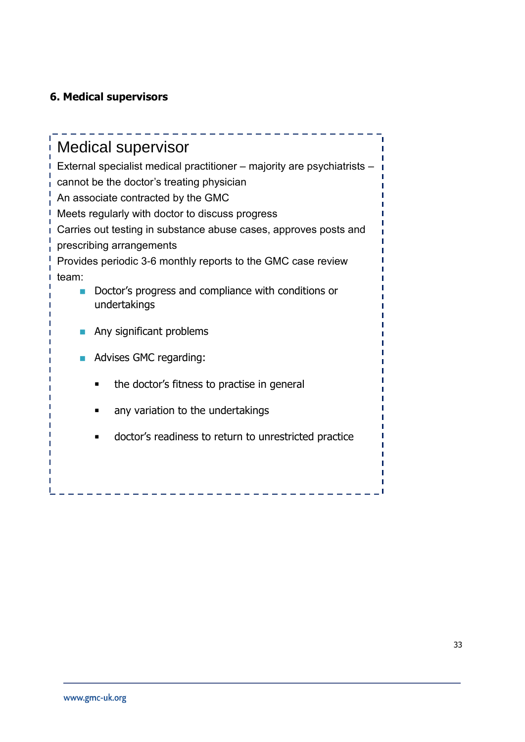# **6. Medical supervisors**

| <b>Medical supervisor</b><br>External specialist medical practitioner - majority are psychiatrists -<br>cannot be the doctor's treating physician<br>An associate contracted by the GMC |  |  |
|-----------------------------------------------------------------------------------------------------------------------------------------------------------------------------------------|--|--|
| Meets regularly with doctor to discuss progress                                                                                                                                         |  |  |
| Carries out testing in substance abuse cases, approves posts and<br>prescribing arrangements                                                                                            |  |  |
| Provides periodic 3-6 monthly reports to the GMC case review                                                                                                                            |  |  |
| team:<br>Doctor's progress and compliance with conditions or<br>undertakings                                                                                                            |  |  |
| Any significant problems                                                                                                                                                                |  |  |
| Advises GMC regarding:                                                                                                                                                                  |  |  |
| the doctor's fitness to practise in general                                                                                                                                             |  |  |
| any variation to the undertakings                                                                                                                                                       |  |  |
| doctor's readiness to return to unrestricted practice                                                                                                                                   |  |  |
|                                                                                                                                                                                         |  |  |
|                                                                                                                                                                                         |  |  |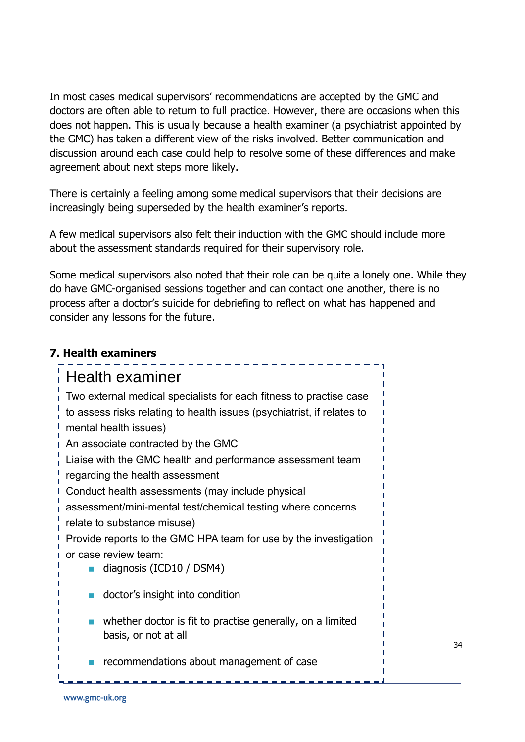In most cases medical supervisors' recommendations are accepted by the GMC and doctors are often able to return to full practice. However, there are occasions when this does not happen. This is usually because a health examiner (a psychiatrist appointed by the GMC) has taken a different view of the risks involved. Better communication and discussion around each case could help to resolve some of these differences and make agreement about next steps more likely.

There is certainly a feeling among some medical supervisors that their decisions are increasingly being superseded by the health examiner's reports.

A few medical supervisors also felt their induction with the GMC should include more about the assessment standards required for their supervisory role.

Some medical supervisors also noted that their role can be quite a lonely one. While they do have GMC-organised sessions together and can contact one another, there is no process after a doctor's suicide for debriefing to reflect on what has happened and consider any lessons for the future.

| 7. Health examiners                                                               |  |  |
|-----------------------------------------------------------------------------------|--|--|
| Health examiner                                                                   |  |  |
| Two external medical specialists for each fitness to practise case                |  |  |
| to assess risks relating to health issues (psychiatrist, if relates to            |  |  |
| mental health issues)                                                             |  |  |
| An associate contracted by the GMC                                                |  |  |
| Liaise with the GMC health and performance assessment team                        |  |  |
| regarding the health assessment                                                   |  |  |
| Conduct health assessments (may include physical                                  |  |  |
| assessment/mini-mental test/chemical testing where concerns                       |  |  |
| relate to substance misuse)                                                       |  |  |
| Provide reports to the GMC HPA team for use by the investigation                  |  |  |
| or case review team:                                                              |  |  |
| diagnosis (ICD10 / DSM4)                                                          |  |  |
| doctor's insight into condition                                                   |  |  |
| whether doctor is fit to practise generally, on a limited<br>basis, or not at all |  |  |
| recommendations about management of case                                          |  |  |

34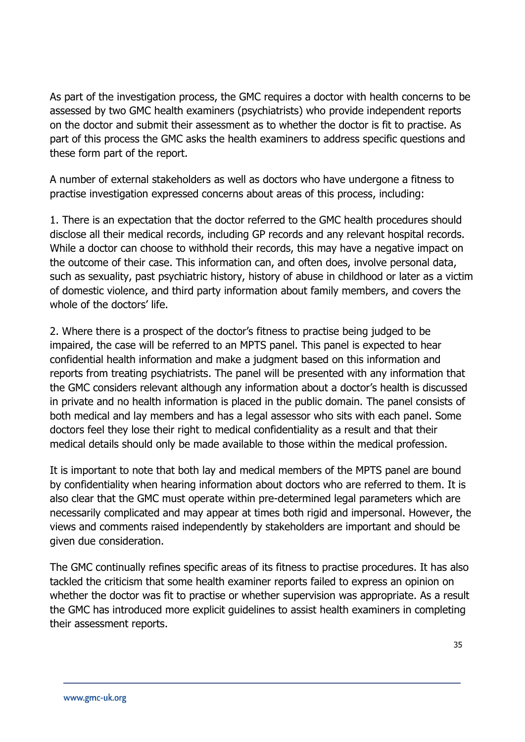As part of the investigation process, the GMC requires a doctor with health concerns to be assessed by two GMC health examiners (psychiatrists) who provide independent reports on the doctor and submit their assessment as to whether the doctor is fit to practise. As part of this process the GMC asks the health examiners to address specific questions and these form part of the report.

A number of external stakeholders as well as doctors who have undergone a fitness to practise investigation expressed concerns about areas of this process, including:

1. There is an expectation that the doctor referred to the GMC health procedures should disclose all their medical records, including GP records and any relevant hospital records. While a doctor can choose to withhold their records, this may have a negative impact on the outcome of their case. This information can, and often does, involve personal data, such as sexuality, past psychiatric history, history of abuse in childhood or later as a victim of domestic violence, and third party information about family members, and covers the whole of the doctors' life.

2. Where there is a prospect of the doctor's fitness to practise being judged to be impaired, the case will be referred to an MPTS panel. This panel is expected to hear confidential health information and make a judgment based on this information and reports from treating psychiatrists. The panel will be presented with any information that the GMC considers relevant although any information about a doctor's health is discussed in private and no health information is placed in the public domain. The panel consists of both medical and lay members and has a legal assessor who sits with each panel. Some doctors feel they lose their right to medical confidentiality as a result and that their medical details should only be made available to those within the medical profession.

It is important to note that both lay and medical members of the MPTS panel are bound by confidentiality when hearing information about doctors who are referred to them. It is also clear that the GMC must operate within pre-determined legal parameters which are necessarily complicated and may appear at times both rigid and impersonal. However, the views and comments raised independently by stakeholders are important and should be given due consideration.

The GMC continually refines specific areas of its fitness to practise procedures. It has also tackled the criticism that some health examiner reports failed to express an opinion on whether the doctor was fit to practise or whether supervision was appropriate. As a result the GMC has introduced more explicit guidelines to assist health examiners in completing their assessment reports.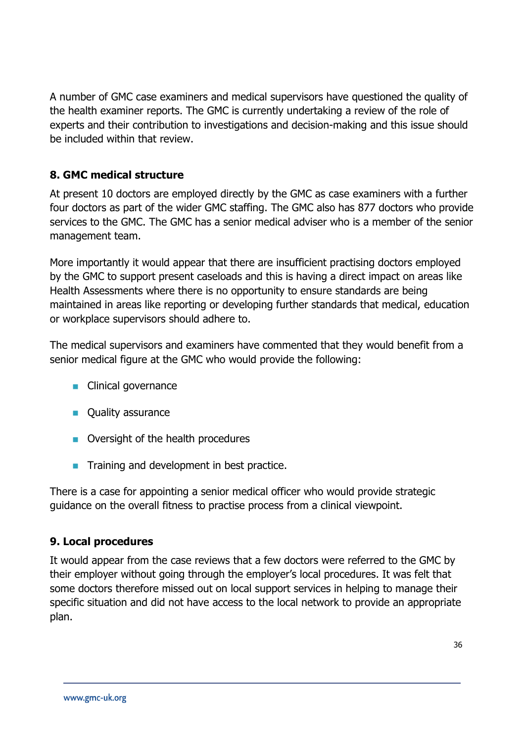A number of GMC case examiners and medical supervisors have questioned the quality of the health examiner reports. The GMC is currently undertaking a review of the role of experts and their contribution to investigations and decision-making and this issue should be included within that review.

### **8. GMC medical structure**

At present 10 doctors are employed directly by the GMC as case examiners with a further four doctors as part of the wider GMC staffing. The GMC also has 877 doctors who provide services to the GMC. The GMC has a senior medical adviser who is a member of the senior management team.

More importantly it would appear that there are insufficient practising doctors employed by the GMC to support present caseloads and this is having a direct impact on areas like Health Assessments where there is no opportunity to ensure standards are being maintained in areas like reporting or developing further standards that medical, education or workplace supervisors should adhere to.

The medical supervisors and examiners have commented that they would benefit from a senior medical figure at the GMC who would provide the following:

- **Clinical governance**
- **Quality assurance**
- Oversight of the health procedures
- **Training and development in best practice.**

There is a case for appointing a senior medical officer who would provide strategic guidance on the overall fitness to practise process from a clinical viewpoint.

### **9. Local procedures**

It would appear from the case reviews that a few doctors were referred to the GMC by their employer without going through the employer's local procedures. It was felt that some doctors therefore missed out on local support services in helping to manage their specific situation and did not have access to the local network to provide an appropriate plan.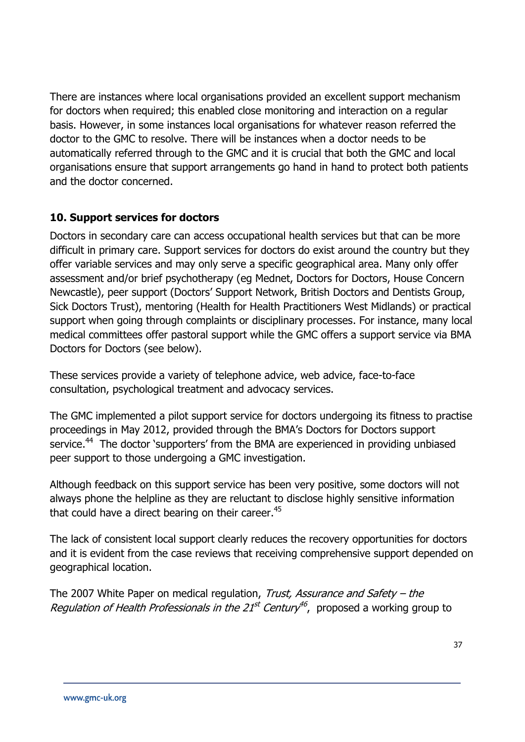There are instances where local organisations provided an excellent support mechanism for doctors when required; this enabled close monitoring and interaction on a regular basis. However, in some instances local organisations for whatever reason referred the doctor to the GMC to resolve. There will be instances when a doctor needs to be automatically referred through to the GMC and it is crucial that both the GMC and local organisations ensure that support arrangements go hand in hand to protect both patients and the doctor concerned.

# **10. Support services for doctors**

Doctors in secondary care can access occupational health services but that can be more difficult in primary care. Support services for doctors do exist around the country but they offer variable services and may only serve a specific geographical area. Many only offer assessment and/or brief psychotherapy (eg Mednet, Doctors for Doctors, House Concern Newcastle), peer support (Doctors' Support Network, British Doctors and Dentists Group, Sick Doctors Trust), mentoring (Health for Health Practitioners West Midlands) or practical support when going through complaints or disciplinary processes. For instance, many local medical committees offer pastoral support while the GMC offers a support service via BMA Doctors for Doctors (see below).

These services provide a variety of telephone advice, web advice, face-to-face consultation, psychological treatment and advocacy services.

The GMC implemented a pilot support service for doctors undergoing its fitness to practise proceedings in May 2012, provided through the BMA's Doctors for Doctors support service.<sup>44</sup> The doctor 'supporters' from the BMA are experienced in providing unbiased peer support to those undergoing a GMC investigation.

Although feedback on this support service has been very positive, some doctors will not always phone the helpline as they are reluctant to disclose highly sensitive information that could have a direct bearing on their career.<sup>45</sup>

The lack of consistent local support clearly reduces the recovery opportunities for doctors and it is evident from the case reviews that receiving comprehensive support depended on geographical location.

The 2007 White Paper on medical regulation, Trust, Assurance and Safety – the Regulation of Health Professionals in the 21<sup>st</sup> Century<sup>46</sup>, proposed a working group to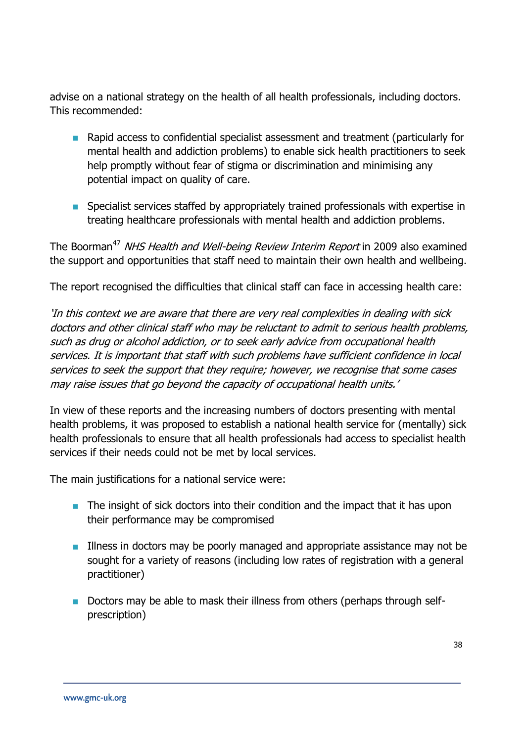advise on a national strategy on the health of all health professionals, including doctors. This recommended:

- **Rapid access to confidential specialist assessment and treatment (particularly for** mental health and addiction problems) to enable sick health practitioners to seek help promptly without fear of stigma or discrimination and minimising any potential impact on quality of care.
- **Specialist services staffed by appropriately trained professionals with expertise in** treating healthcare professionals with mental health and addiction problems.

The Boorman<sup>47</sup> NHS Health and Well-being Review Interim Report in 2009 also examined the support and opportunities that staff need to maintain their own health and wellbeing.

The report recognised the difficulties that clinical staff can face in accessing health care:

'In this context we are aware that there are very real complexities in dealing with sick doctors and other clinical staff who may be reluctant to admit to serious health problems, such as drug or alcohol addiction, or to seek early advice from occupational health services. It is important that staff with such problems have sufficient confidence in local services to seek the support that they require; however, we recognise that some cases may raise issues that go beyond the capacity of occupational health units.'

In view of these reports and the increasing numbers of doctors presenting with mental health problems, it was proposed to establish a national health service for (mentally) sick health professionals to ensure that all health professionals had access to specialist health services if their needs could not be met by local services.

The main justifications for a national service were:

- $\blacksquare$  The insight of sick doctors into their condition and the impact that it has upon their performance may be compromised
- Illness in doctors may be poorly managed and appropriate assistance may not be sought for a variety of reasons (including low rates of registration with a general practitioner)
- Doctors may be able to mask their illness from others (perhaps through selfprescription)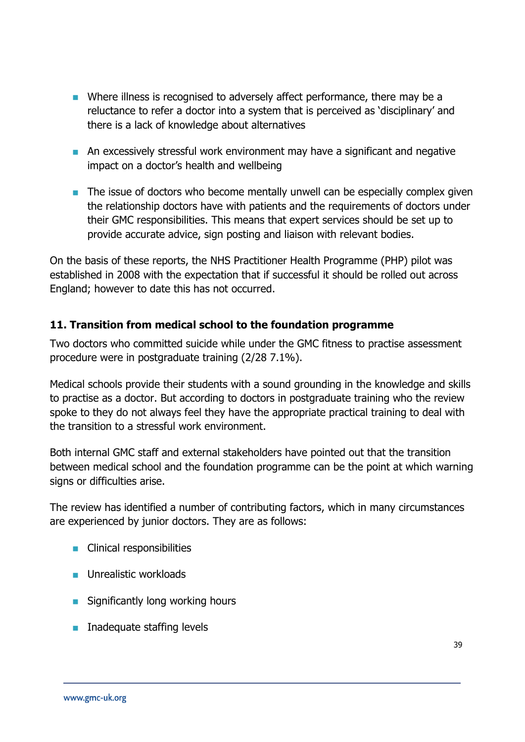- Where illness is recognised to adversely affect performance, there may be a reluctance to refer a doctor into a system that is perceived as 'disciplinary' and there is a lack of knowledge about alternatives
- **An excessively stressful work environment may have a significant and negative** impact on a doctor's health and wellbeing
- $\blacksquare$  The issue of doctors who become mentally unwell can be especially complex given the relationship doctors have with patients and the requirements of doctors under their GMC responsibilities. This means that expert services should be set up to provide accurate advice, sign posting and liaison with relevant bodies.

On the basis of these reports, the NHS Practitioner Health Programme (PHP) pilot was established in 2008 with the expectation that if successful it should be rolled out across England; however to date this has not occurred.

# **11. Transition from medical school to the foundation programme**

Two doctors who committed suicide while under the GMC fitness to practise assessment procedure were in postgraduate training (2/28 7.1%).

Medical schools provide their students with a sound grounding in the knowledge and skills to practise as a doctor. But according to doctors in postgraduate training who the review spoke to they do not always feel they have the appropriate practical training to deal with the transition to a stressful work environment.

Both internal GMC staff and external stakeholders have pointed out that the transition between medical school and the foundation programme can be the point at which warning signs or difficulties arise.

The review has identified a number of contributing factors, which in many circumstances are experienced by junior doctors. They are as follows:

- **Clinical responsibilities**
- **Unrealistic workloads**
- **Significantly long working hours**
- $\blacksquare$  Inadequate staffing levels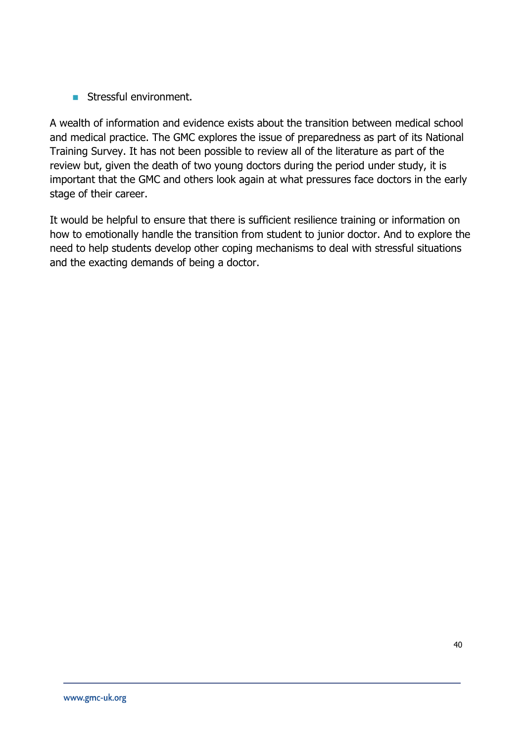Stressful environment.

A wealth of information and evidence exists about the transition between medical school and medical practice. The GMC explores the issue of preparedness as part of its National Training Survey. It has not been possible to review all of the literature as part of the review but, given the death of two young doctors during the period under study, it is important that the GMC and others look again at what pressures face doctors in the early stage of their career.

It would be helpful to ensure that there is sufficient resilience training or information on how to emotionally handle the transition from student to junior doctor. And to explore the need to help students develop other coping mechanisms to deal with stressful situations and the exacting demands of being a doctor.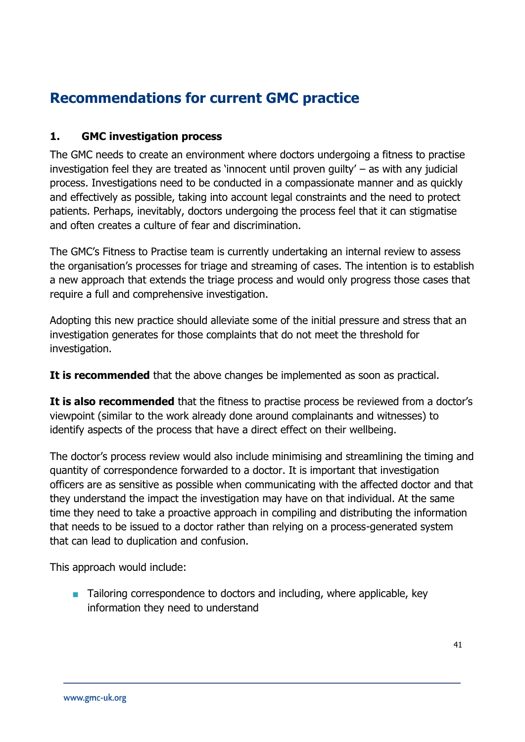# **Recommendations for current GMC practice**

# **1. GMC investigation process**

The GMC needs to create an environment where doctors undergoing a fitness to practise investigation feel they are treated as 'innocent until proven guilty' – as with any judicial process. Investigations need to be conducted in a compassionate manner and as quickly and effectively as possible, taking into account legal constraints and the need to protect patients. Perhaps, inevitably, doctors undergoing the process feel that it can stigmatise and often creates a culture of fear and discrimination.

The GMC's Fitness to Practise team is currently undertaking an internal review to assess the organisation's processes for triage and streaming of cases. The intention is to establish a new approach that extends the triage process and would only progress those cases that require a full and comprehensive investigation.

Adopting this new practice should alleviate some of the initial pressure and stress that an investigation generates for those complaints that do not meet the threshold for investigation.

**It is recommended** that the above changes be implemented as soon as practical.

**It is also recommended** that the fitness to practise process be reviewed from a doctor's viewpoint (similar to the work already done around complainants and witnesses) to identify aspects of the process that have a direct effect on their wellbeing.

The doctor's process review would also include minimising and streamlining the timing and quantity of correspondence forwarded to a doctor. It is important that investigation officers are as sensitive as possible when communicating with the affected doctor and that they understand the impact the investigation may have on that individual. At the same time they need to take a proactive approach in compiling and distributing the information that needs to be issued to a doctor rather than relying on a process-generated system that can lead to duplication and confusion.

This approach would include:

■ Tailoring correspondence to doctors and including, where applicable, key information they need to understand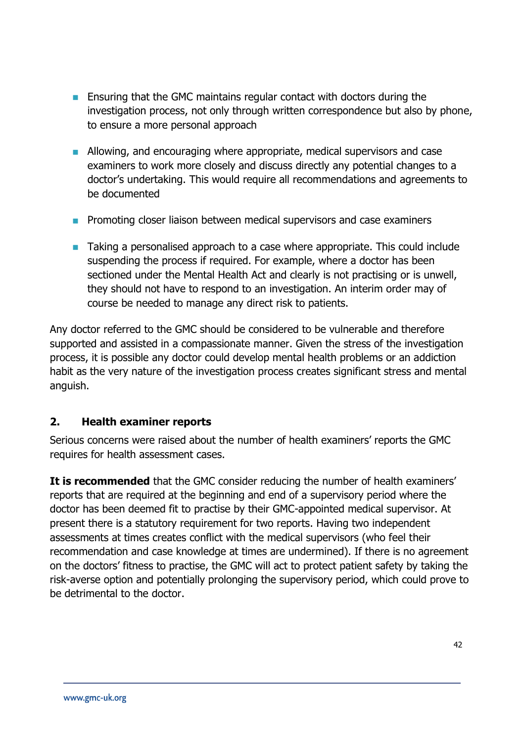- **E** Ensuring that the GMC maintains regular contact with doctors during the investigation process, not only through written correspondence but also by phone, to ensure a more personal approach
- **Allowing, and encouraging where appropriate, medical supervisors and case** examiners to work more closely and discuss directly any potential changes to a doctor's undertaking. This would require all recommendations and agreements to be documented
- **Promoting closer liaison between medical supervisors and case examiners**
- **Taking a personalised approach to a case where appropriate. This could include** suspending the process if required. For example, where a doctor has been sectioned under the Mental Health Act and clearly is not practising or is unwell, they should not have to respond to an investigation. An interim order may of course be needed to manage any direct risk to patients.

Any doctor referred to the GMC should be considered to be vulnerable and therefore supported and assisted in a compassionate manner. Given the stress of the investigation process, it is possible any doctor could develop mental health problems or an addiction habit as the very nature of the investigation process creates significant stress and mental anguish.

# **2. Health examiner reports**

Serious concerns were raised about the number of health examiners' reports the GMC requires for health assessment cases.

**It is recommended** that the GMC consider reducing the number of health examiners' reports that are required at the beginning and end of a supervisory period where the doctor has been deemed fit to practise by their GMC-appointed medical supervisor. At present there is a statutory requirement for two reports. Having two independent assessments at times creates conflict with the medical supervisors (who feel their recommendation and case knowledge at times are undermined). If there is no agreement on the doctors' fitness to practise, the GMC will act to protect patient safety by taking the risk-averse option and potentially prolonging the supervisory period, which could prove to be detrimental to the doctor.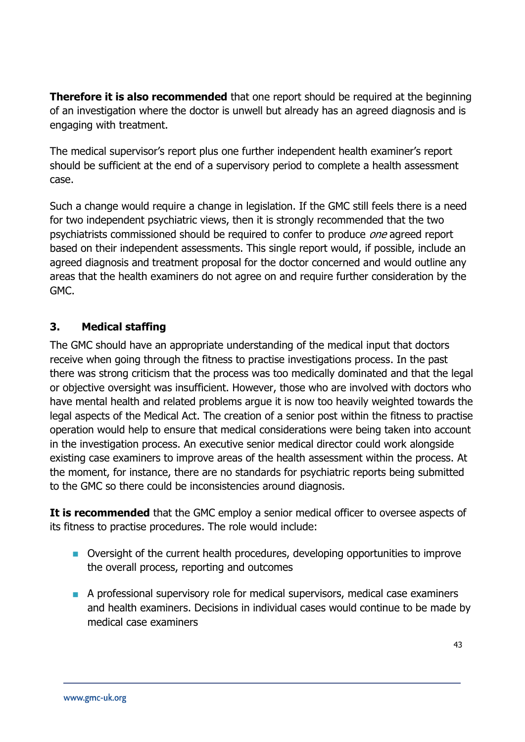**Therefore it is also recommended** that one report should be required at the beginning of an investigation where the doctor is unwell but already has an agreed diagnosis and is engaging with treatment.

The medical supervisor's report plus one further independent health examiner's report should be sufficient at the end of a supervisory period to complete a health assessment case.

Such a change would require a change in legislation. If the GMC still feels there is a need for two independent psychiatric views, then it is strongly recommended that the two psychiatrists commissioned should be required to confer to produce *one* agreed report based on their independent assessments. This single report would, if possible, include an agreed diagnosis and treatment proposal for the doctor concerned and would outline any areas that the health examiners do not agree on and require further consideration by the GMC.

# **3. Medical staffing**

The GMC should have an appropriate understanding of the medical input that doctors receive when going through the fitness to practise investigations process. In the past there was strong criticism that the process was too medically dominated and that the legal or objective oversight was insufficient. However, those who are involved with doctors who have mental health and related problems argue it is now too heavily weighted towards the legal aspects of the Medical Act. The creation of a senior post within the fitness to practise operation would help to ensure that medical considerations were being taken into account in the investigation process. An executive senior medical director could work alongside existing case examiners to improve areas of the health assessment within the process. At the moment, for instance, there are no standards for psychiatric reports being submitted to the GMC so there could be inconsistencies around diagnosis.

**It is recommended** that the GMC employ a senior medical officer to oversee aspects of its fitness to practise procedures. The role would include:

- Oversight of the current health procedures, developing opportunities to improve the overall process, reporting and outcomes
- A professional supervisory role for medical supervisors, medical case examiners and health examiners. Decisions in individual cases would continue to be made by medical case examiners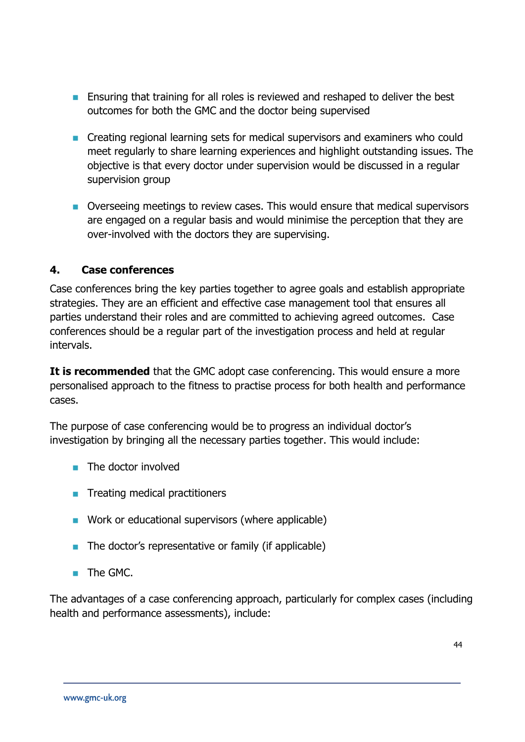- **Ensuring that training for all roles is reviewed and reshaped to deliver the best** outcomes for both the GMC and the doctor being supervised
- Creating regional learning sets for medical supervisors and examiners who could meet regularly to share learning experiences and highlight outstanding issues. The objective is that every doctor under supervision would be discussed in a regular supervision group
- Overseeing meetings to review cases. This would ensure that medical supervisors are engaged on a regular basis and would minimise the perception that they are over-involved with the doctors they are supervising.

# **4. Case conferences**

Case conferences bring the key parties together to agree goals and establish appropriate strategies. They are an efficient and effective case management tool that ensures all parties understand their roles and are committed to achieving agreed outcomes. Case conferences should be a regular part of the investigation process and held at regular intervals.

**It is recommended** that the GMC adopt case conferencing. This would ensure a more personalised approach to the fitness to practise process for both health and performance cases.

The purpose of case conferencing would be to progress an individual doctor's investigation by bringing all the necessary parties together. This would include:

- $\blacksquare$  The doctor involved
- **Treating medical practitioners**
- **Nork or educational supervisors (where applicable)**
- $\blacksquare$  The doctor's representative or family (if applicable)
- **The GMC.**

The advantages of a case conferencing approach, particularly for complex cases (including health and performance assessments), include: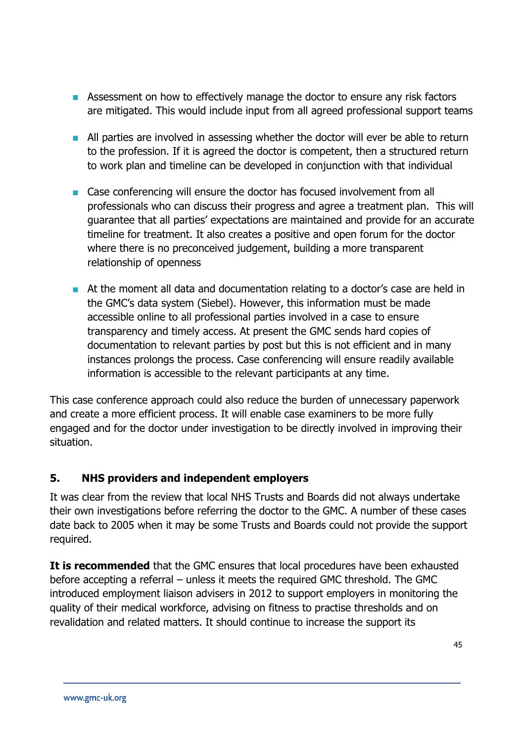- **EXECT** Assessment on how to effectively manage the doctor to ensure any risk factors are mitigated. This would include input from all agreed professional support teams
- **All parties are involved in assessing whether the doctor will ever be able to return** to the profession. If it is agreed the doctor is competent, then a structured return to work plan and timeline can be developed in conjunction with that individual
- Case conferencing will ensure the doctor has focused involvement from all professionals who can discuss their progress and agree a treatment plan. This will guarantee that all parties' expectations are maintained and provide for an accurate timeline for treatment. It also creates a positive and open forum for the doctor where there is no preconceived judgement, building a more transparent relationship of openness
- At the moment all data and documentation relating to a doctor's case are held in the GMC's data system (Siebel). However, this information must be made accessible online to all professional parties involved in a case to ensure transparency and timely access. At present the GMC sends hard copies of documentation to relevant parties by post but this is not efficient and in many instances prolongs the process. Case conferencing will ensure readily available information is accessible to the relevant participants at any time.

This case conference approach could also reduce the burden of unnecessary paperwork and create a more efficient process. It will enable case examiners to be more fully engaged and for the doctor under investigation to be directly involved in improving their situation.

# **5. NHS providers and independent employers**

It was clear from the review that local NHS Trusts and Boards did not always undertake their own investigations before referring the doctor to the GMC. A number of these cases date back to 2005 when it may be some Trusts and Boards could not provide the support required.

**It is recommended** that the GMC ensures that local procedures have been exhausted before accepting a referral – unless it meets the required GMC threshold. The GMC introduced employment liaison advisers in 2012 to support employers in monitoring the quality of their medical workforce, advising on fitness to practise thresholds and on revalidation and related matters. It should continue to increase the support its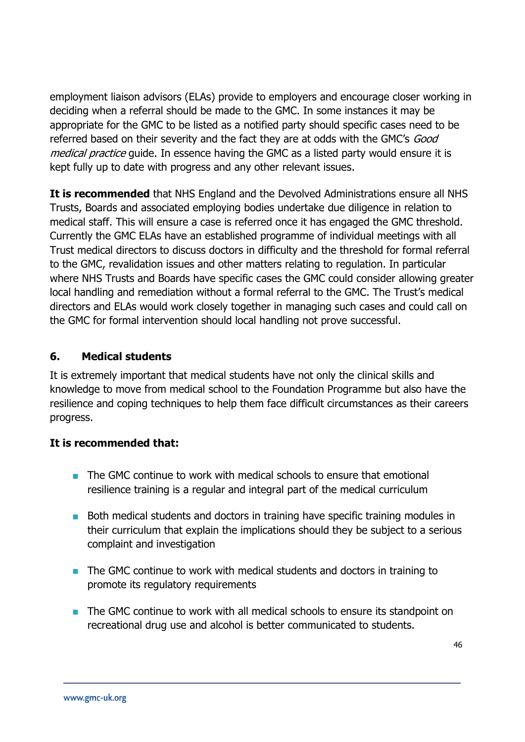employment liaison advisors (ELAs) provide to employers and encourage closer working in deciding when a referral should be made to the GMC. In some instances it may be appropriate for the GMC to be listed as a notified party should specific cases need to be referred based on their severity and the fact they are at odds with the GMC's Good medical practice guide. In essence having the GMC as a listed party would ensure it is kept fully up to date with progress and any other relevant issues.

**It is recommended** that NHS England and the Devolved Administrations ensure all NHS Trusts, Boards and associated employing bodies undertake due diligence in relation to medical staff. This will ensure a case is referred once it has engaged the GMC threshold. Currently the GMC ELAs have an established programme of individual meetings with all Trust medical directors to discuss doctors in difficulty and the threshold for formal referral to the GMC, revalidation issues and other matters relating to regulation. In particular where NHS Trusts and Boards have specific cases the GMC could consider allowing greater local handling and remediation without a formal referral to the GMC. The Trust's medical directors and ELAs would work closely together in managing such cases and could call on the GMC for formal intervention should local handling not prove successful.

# **6. Medical students**

It is extremely important that medical students have not only the clinical skills and knowledge to move from medical school to the Foundation Programme but also have the resilience and coping techniques to help them face difficult circumstances as their careers progress.

# **It is recommended that:**

- The GMC continue to work with medical schools to ensure that emotional resilience training is a regular and integral part of the medical curriculum
- Both medical students and doctors in training have specific training modules in their curriculum that explain the implications should they be subject to a serious complaint and investigation
- **The GMC continue to work with medical students and doctors in training to** promote its regulatory requirements
- The GMC continue to work with all medical schools to ensure its standpoint on recreational drug use and alcohol is better communicated to students.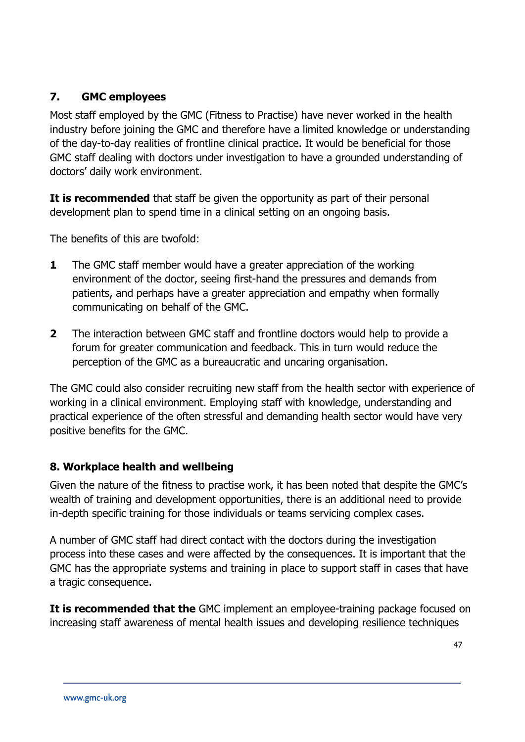# **7. GMC employees**

Most staff employed by the GMC (Fitness to Practise) have never worked in the health industry before joining the GMC and therefore have a limited knowledge or understanding of the day-to-day realities of frontline clinical practice. It would be beneficial for those GMC staff dealing with doctors under investigation to have a grounded understanding of doctors' daily work environment.

**It is recommended** that staff be given the opportunity as part of their personal development plan to spend time in a clinical setting on an ongoing basis.

The benefits of this are twofold:

- **1** The GMC staff member would have a greater appreciation of the working environment of the doctor, seeing first-hand the pressures and demands from patients, and perhaps have a greater appreciation and empathy when formally communicating on behalf of the GMC.
- **2** The interaction between GMC staff and frontline doctors would help to provide a forum for greater communication and feedback. This in turn would reduce the perception of the GMC as a bureaucratic and uncaring organisation.

The GMC could also consider recruiting new staff from the health sector with experience of working in a clinical environment. Employing staff with knowledge, understanding and practical experience of the often stressful and demanding health sector would have very positive benefits for the GMC.

# **8. Workplace health and wellbeing**

Given the nature of the fitness to practise work, it has been noted that despite the GMC's wealth of training and development opportunities, there is an additional need to provide in-depth specific training for those individuals or teams servicing complex cases.

A number of GMC staff had direct contact with the doctors during the investigation process into these cases and were affected by the consequences. It is important that the GMC has the appropriate systems and training in place to support staff in cases that have a tragic consequence.

**It is recommended that the** GMC implement an employee-training package focused on increasing staff awareness of mental health issues and developing resilience techniques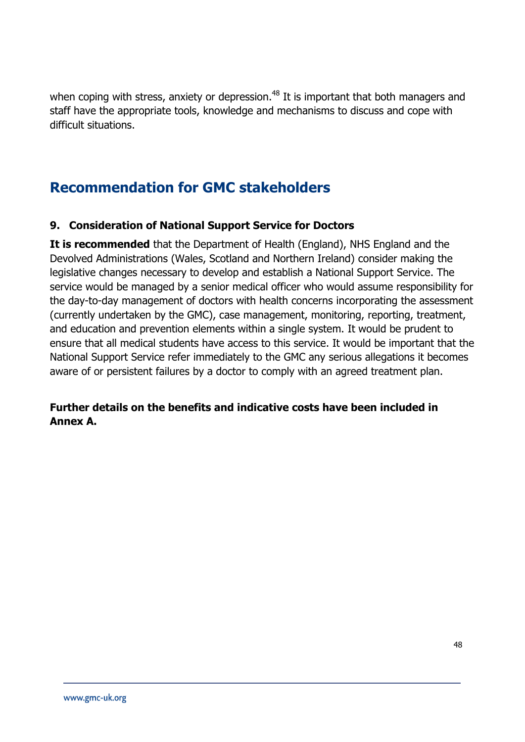when coping with stress, anxiety or depression.<sup>48</sup> It is important that both managers and staff have the appropriate tools, knowledge and mechanisms to discuss and cope with difficult situations.

# **Recommendation for GMC stakeholders**

# **9. Consideration of National Support Service for Doctors**

**It is recommended** that the Department of Health (England), NHS England and the Devolved Administrations (Wales, Scotland and Northern Ireland) consider making the legislative changes necessary to develop and establish a National Support Service. The service would be managed by a senior medical officer who would assume responsibility for the day-to-day management of doctors with health concerns incorporating the assessment (currently undertaken by the GMC), case management, monitoring, reporting, treatment, and education and prevention elements within a single system. It would be prudent to ensure that all medical students have access to this service. It would be important that the National Support Service refer immediately to the GMC any serious allegations it becomes aware of or persistent failures by a doctor to comply with an agreed treatment plan.

# **Further details on the benefits and indicative costs have been included in Annex A.**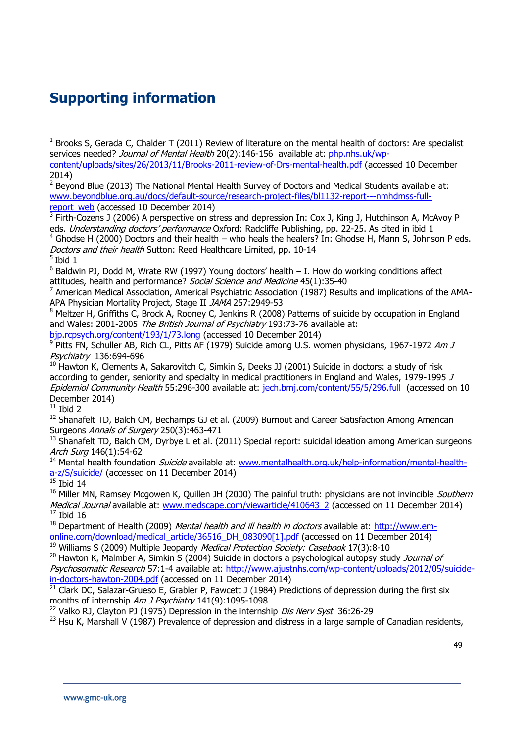# **Supporting information**

 $1$  Brooks S, Gerada C, Chalder T (2011) Review of literature on the mental health of doctors: Are specialist services needed? Journal of Mental Health 20(2):146-156 available at: [php.nhs.uk/wp](http://php.nhs.uk/wp-content/uploads/sites/26/2013/11/Brooks-2011-review-of-Drs-mental-health.pdf)[content/uploads/sites/26/2013/11/Brooks-2011-review-of-Drs-mental-health.pdf](http://php.nhs.uk/wp-content/uploads/sites/26/2013/11/Brooks-2011-review-of-Drs-mental-health.pdf) (accessed 10 December 2014)

<sup>2</sup> Beyond Blue (2013) [The National Mental Health Survey of Doctors and Medical Students](http://www.beyondblue.org.au/docs/default-source/default-document-library/bl1132-report---nmhdmss-full-report_web.pdf?sfvrsn=2) available at: [www.beyondblue.org.au/docs/default-source/research-project-files/bl1132-report---nmhdmss-full](http://www.beyondblue.org.au/docs/default-source/research-project-files/bl1132-report---nmhdmss-full-report_web)[report\\_web](http://www.beyondblue.org.au/docs/default-source/research-project-files/bl1132-report---nmhdmss-full-report_web) (accessed 10 December 2014)

<sup>3</sup> Firth-Cozens J (2006) A perspective on stress and depression In: Cox J, King J, Hutchinson A, McAvoy P eds. Understanding doctors' performance Oxford: Radcliffe Publishing, pp. 22-25. As cited in ibid 1

<sup>4</sup> Ghodse H (2000) Doctors and their health – who heals the healers? In: Ghodse H, Mann S, Johnson P eds. Doctors and their health Sutton: Reed Healthcare Limited, pp. 10-14

5 Ibid 1

 $6$  Baldwin PJ, Dodd M, Wrate RW (1997) Young doctors' health  $-$  I. How do working conditions affect attitudes, health and performance? Social Science and Medicine 45(1):35-40

<sup>7</sup> American Medical Association, Americal Psychiatric Association (1987) Results and implications of the AMA-APA Physician Mortality Project, Stage II JAMA 257:2949-53

<sup>8</sup> Meltzer H, Griffiths C, Brock A, Rooney C, Jenkins R (2008) Patterns of suicide by occupation in England and Wales: 2001-2005 The British Journal of Psychiatry 193:73-76 available at: [bjp.rcpsych.org/content/193/1/73.long](http://bjp.rcpsych.org/content/193/1/73.long) (accessed 10 December 2014)

<sup>9</sup> Pitts FN, Schuller AB, Rich CL, Pitts AF (1979) Suicide among U.S. women physicians, 1967-1972 *Am J* Psychiatry 136:694-696

 $10$  Hawton K, Clements A, Sakarovitch C, Simkin S, Deeks JJ (2001) Suicide in doctors: a study of risk according to gender, seniority and specialty in medical practitioners in England and Wales, 1979-1995 J Epidemiol Community Health 55:296-300 available at: [jech.bmj.com/content/55/5/296.full](file:///C:/Users/Lbruce/AppData/Local/Microsoft/Windows/Temporary%20Internet%20Files/Content.Outlook/CZ7UJ5B0/jech.bmj.com/content/55/5/296.full) (accessed on 10 December 2014)

 $11$  Ibid 2

 $12$  Shanafelt TD, Balch CM, Bechamps GJ et al. (2009) Burnout and Career Satisfaction Among American Surgeons Annals of Surgery 250(3):463-471

<sup>13</sup> [Shanafelt TD,](http://www.ncbi.nlm.nih.gov/pubmed?term=Shanafelt%20TD%5BAuthor%5D&cauthor=true&cauthor_uid=21242446) [Balch CM,](http://www.ncbi.nlm.nih.gov/pubmed?term=Balch%20CM%5BAuthor%5D&cauthor=true&cauthor_uid=21242446) [Dyrbye L](http://www.ncbi.nlm.nih.gov/pubmed?term=Dyrbye%20L%5BAuthor%5D&cauthor=true&cauthor_uid=21242446) et al. (2011) Special report: suicidal ideation among American surgeons Arch Surg 146(1):54-62

<sup>14</sup> Mental health foundation *Suicide* available at: [www.mentalhealth.org.uk/help-information/mental-health](http://www.mentalhealth.org.uk/help-information/mental-health-a-z/S/suicide/)[a-z/S/suicide/](http://www.mentalhealth.org.uk/help-information/mental-health-a-z/S/suicide/) (accessed on 11 December 2014)

 $15$  Ibid 14

<sup>16</sup> Miller MN, Ramsey Mcgowen K, Quillen JH (2000) The painful truth: physicians are not invincible *Southern* Medical Journal available at: [www.medscape.com/viewarticle/410643\\_2](http://www.medscape.com/viewarticle/410643_2) (accessed on 11 December 2014)  $17$  Ibid 16

 $18$  Department of Health (2009) *Mental health and ill health in doctors* available at: [http://www.em](http://www.em-online.com/download/medical_article/36516_DH_083090%5b1%5d.pdf)[online.com/download/medical\\_article/36516\\_DH\\_083090\[1\].pdf](http://www.em-online.com/download/medical_article/36516_DH_083090%5b1%5d.pdf) (accessed on 11 December 2014)

 $19$  Williams S (2009) Multiple Jeopardy *Medical Protection Society: Casebook* 17(3):8-10

 $20$  Hawton K, Malmber A, Simkin S (2004) Suicide in doctors a psychological autopsy study *Journal of* Psychosomatic Research 57:1-4 available at: [http://www.ajustnhs.com/wp-content/uploads/2012/05/suicide](http://www.ajustnhs.com/wp-content/uploads/2012/05/suicide-in-doctors-hawton-2004.pdf)[in-doctors-hawton-2004.pdf](http://www.ajustnhs.com/wp-content/uploads/2012/05/suicide-in-doctors-hawton-2004.pdf) (accessed on 11 December 2014)

<sup>21</sup> Clark DC, Salazar-Grueso E, Grabler P, Fawcett J (1984) Predictions of depression during the first six months of internship Am J Psychiatry 141(9):1095-1098

<sup>22</sup> Valko RJ, Clayton PJ (1975) Depression in the internship *Dis Nerv Syst* 36:26-29

 $^{23}$  Hsu K, Marshall V (1987) Prevalence of depression and distress in a large sample of Canadian residents,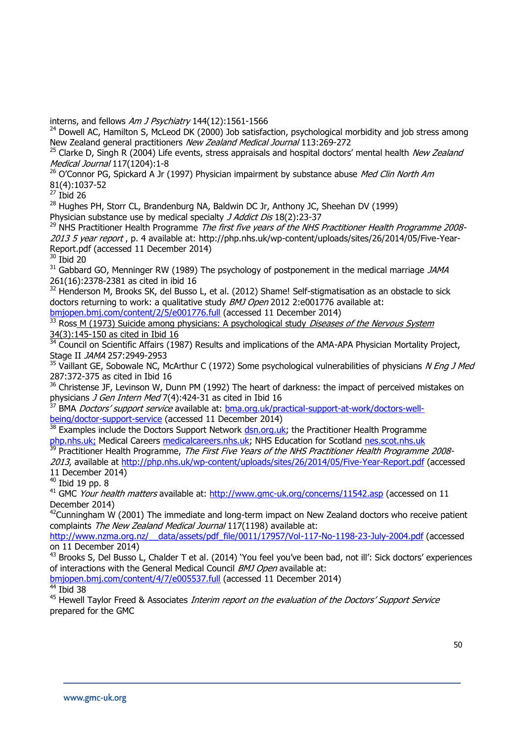interns, and fellows Am J Psychiatry 144(12):1561-1566

 $^{24}$  Dowell AC, Hamilton S, McLeod DK (2000) Job satisfaction, psychological morbidity and job stress among New Zealand general practitioners New Zealand Medical Journal 113:269-272

 $25$  Clarke D, Singh R (2004) Life events, stress appraisals and hospital doctors' mental health New Zealand Medical Journal 117(1204):1-8

 $26$  O'Connor PG, Spickard A Jr (1997) Physician impairment by substance abuse Med Clin North Am 81(4):1037-52

 $27$  Ibid 26

<sup>28</sup> Hughes PH, Storr CL, Brandenburg NA, Baldwin DC Jr, Anthony JC, Sheehan DV (1999)

Physician substance use by medical specialty J Addict Dis 18(2):23-37

 $^{29}$  NHS Practitioner Health Programme The first five years of the NHS Practitioner Health Programme 20082013 5 year report, p. 4 available at: [http://php.nhs.uk/wp-content/uploads/sites/26/2014/05/Five-Year-](http://php.nhs.uk/wp-content/uploads/sites/26/2014/05/Five-Year-Report.pdf)[Report.pdf](http://php.nhs.uk/wp-content/uploads/sites/26/2014/05/Five-Year-Report.pdf) (accessed 11 December 2014)

<sup>30</sup> Ibid 20

 $31$  Gabbard GO, Menninger RW (1989) The psychology of postponement in the medical marriage JAMA 261(16):2378-2381 as cited in ibid 16

 $32$  Henderson M, Brooks SK, del Busso L, et al. (2012) Shame! Self-stigmatisation as an obstacle to sick doctors returning to work: a qualitative study *BMJ Open* 2012 2:e001776 available at:

[bmjopen.bmj.com/content/2/5/e001776.full](http://bmjopen.bmj.com/content/2/5/e001776.full) (accessed 11 December 2014)

 $\frac{33}{33}$  Ross M (1973) Suicide among physicians: A psychological study *Diseases of the Nervous System* 34(3):145-150 as cited in Ibid 16

<sup>34</sup> Council on Scientific Affairs (1987) Results and implications of the AMA-APA Physician Mortality Project, Stage II JAMA 257:2949-2953

 $35$  Vaillant GE, Sobowale NC, McArthur C (1972) Some psychological vulnerabilities of physicians N Eng J Med 287:372-375 as cited in Ibid 16

<sup>36</sup> Christense JF, Levinson W, Dunn PM (1992) The heart of darkness: the impact of perceived mistakes on physicians *J Gen Intern Med* 7(4):424-31 as cited in Ibid 16

<sup>37</sup> BMA *Doctors' support service* available at: **bma.org.uk/practical-support-at-work/doctors-well**[being/doctor-support-service](http://bma.org.uk/practical-support-at-work/doctors-well-being/doctor-support-service) (accessed 11 December 2014)

 $\frac{38}{38}$  Examples include the Doctors Support Network [dsn.org.uk;](file:///C:/Users/Lbruce/AppData/Local/Microsoft/Windows/Temporary%20Internet%20Files/Content.Outlook/CZ7UJ5B0/dsn.org.uk) the Practitioner Health Programme [php.nhs.uk;](http://php.nhs.uk/) Medical Careers [medicalcareers.nhs.uk;](http://medicalcareers.nhs.uk/) NHS Education for Scotland [nes.scot.nhs.uk](http://nes.scot.nhs.uk/)

<sup>39</sup> Practitioner Health Programme, *The First Five Years of the NHS Practitioner Health Programme 2008-*

2013, available at<http://php.nhs.uk/wp-content/uploads/sites/26/2014/05/Five-Year-Report.pdf> (accessed 11 December 2014)

 $40$  Ibid 19 pp. 8

<sup>41</sup> GMC Your health matters available at:<http://www.gmc-uk.org/concerns/11542.asp> (accessed on 11 December 2014)

 $^{42}$ Cunningham W (2001) The immediate and long-term impact on New Zealand doctors who receive patient complaints The New Zealand Medical Journal 117(1198) available at:

[http://www.nzma.org.nz/\\_\\_data/assets/pdf\\_file/0011/17957/Vol-117-No-1198-23-July-2004.pdf](http://www.nzma.org.nz/__data/assets/pdf_file/0011/17957/Vol-117-No-1198-23-July-2004.pdf) (accessed on 11 December 2014)

<sup>43</sup> Brooks S, Del Busso L, Chalder T et al. (2014) 'You feel you've been bad, not ill': Sick doctors' experiences of interactions with the General Medical Council BMJ Open available at:

[bmjopen.bmj.com/content/4/7/e005537.full](http://bmjopen.bmj.com/content/4/7/e005537.full) (accessed 11 December 2014)

 $44$  Ibid 38

<sup>45</sup> Hewell Taylor Freed & Associates Interim report on the evaluation of the Doctors' Support Service prepared for the GMC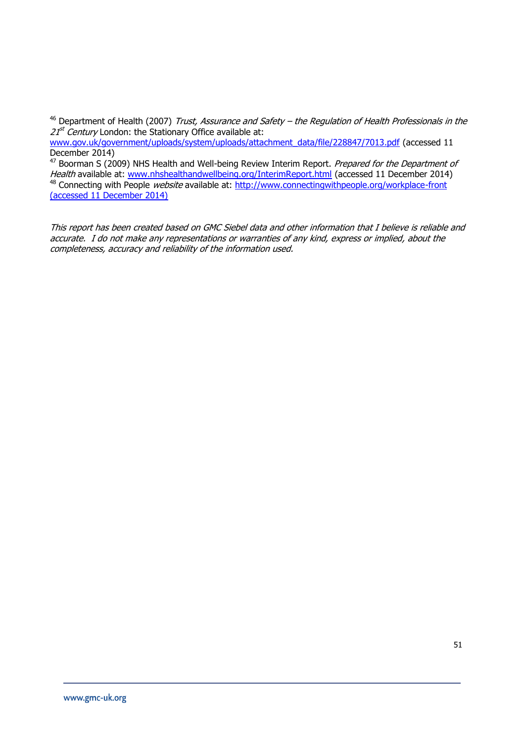$46$  Department of Health (2007) Trust, Assurance and Safety – the Regulation of Health Professionals in the 21<sup>st</sup> Century London: the Stationary Office available at:

[www.gov.uk/government/uploads/system/uploads/attachment\\_data/file/228847/7013.pdf](http://www.gov.uk/government/uploads/system/uploads/attachment_data/file/228847/7013.pdf) (accessed 11 December 2014)

47 Boorman S (2009) NHS Health and Well-being Review Interim Report. Prepared for the Department of Health available at: [www.nhshealthandwellbeing.org/InterimReport.html](http://www.nhshealthandwellbeing.org/InterimReport.html) (accessed 11 December 2014) 48 Connecting with People website available at:<http://www.connectingwithpeople.org/workplace-front> (accessed 11 December 2014)

This report has been created based on GMC Siebel data and other information that I believe is reliable and accurate. I do not make any representations or warranties of any kind, express or implied, about the completeness, accuracy and reliability of the information used.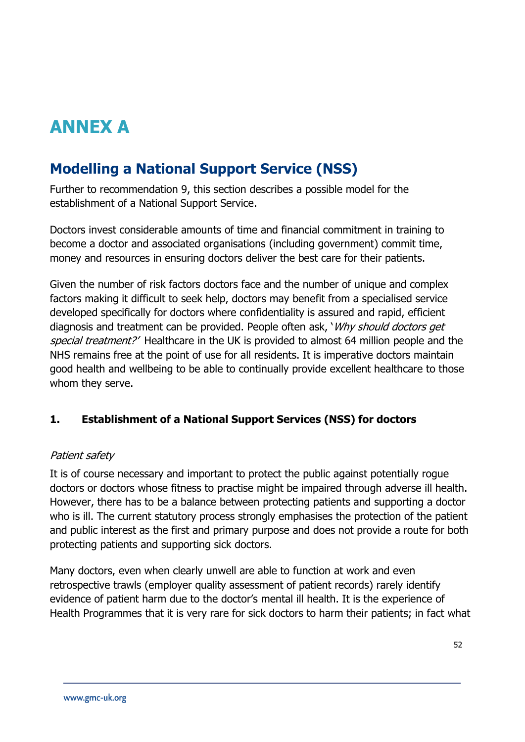# **ANNEX A**

# **Modelling a National Support Service (NSS)**

Further to recommendation 9, this section describes a possible model for the establishment of a National Support Service.

Doctors invest considerable amounts of time and financial commitment in training to become a doctor and associated organisations (including government) commit time, money and resources in ensuring doctors deliver the best care for their patients.

Given the number of risk factors doctors face and the number of unique and complex factors making it difficult to seek help, doctors may benefit from a specialised service developed specifically for doctors where confidentiality is assured and rapid, efficient diagnosis and treatment can be provided. People often ask, 'Why should doctors get special treatment?' Healthcare in the UK is provided to almost 64 million people and the NHS remains free at the point of use for all residents. It is imperative doctors maintain good health and wellbeing to be able to continually provide excellent healthcare to those whom they serve.

# **1. Establishment of a National Support Services (NSS) for doctors**

#### Patient safety

It is of course necessary and important to protect the public against potentially rogue doctors or doctors whose fitness to practise might be impaired through adverse ill health. However, there has to be a balance between protecting patients and supporting a doctor who is ill. The current statutory process strongly emphasises the protection of the patient and public interest as the first and primary purpose and does not provide a route for both protecting patients and supporting sick doctors.

Many doctors, even when clearly unwell are able to function at work and even retrospective trawls (employer quality assessment of patient records) rarely identify evidence of patient harm due to the doctor's mental ill health. It is the experience of Health Programmes that it is very rare for sick doctors to harm their patients; in fact what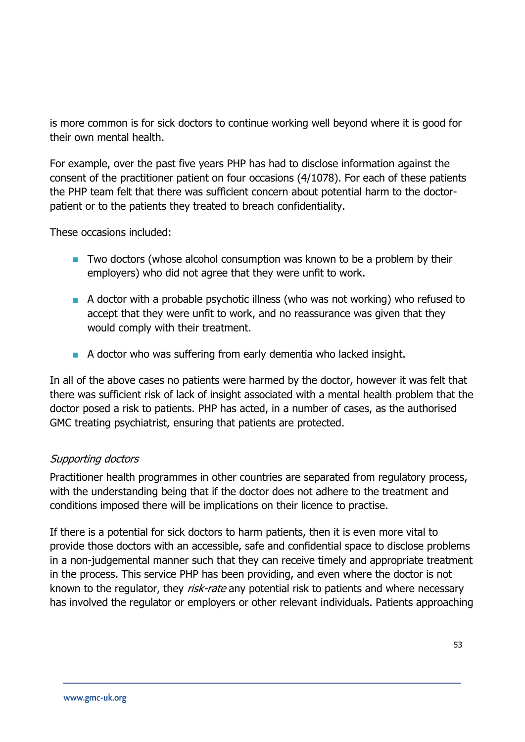is more common is for sick doctors to continue working well beyond where it is good for their own mental health.

For example, over the past five years PHP has had to disclose information against the consent of the practitioner patient on four occasions (4/1078). For each of these patients the PHP team felt that there was sufficient concern about potential harm to the doctorpatient or to the patients they treated to breach confidentiality.

These occasions included:

- **T** Two doctors (whose alcohol consumption was known to be a problem by their employers) who did not agree that they were unfit to work.
- A doctor with a probable psychotic illness (who was not working) who refused to accept that they were unfit to work, and no reassurance was given that they would comply with their treatment.
- A doctor who was suffering from early dementia who lacked insight.

In all of the above cases no patients were harmed by the doctor, however it was felt that there was sufficient risk of lack of insight associated with a mental health problem that the doctor posed a risk to patients. PHP has acted, in a number of cases, as the authorised GMC treating psychiatrist, ensuring that patients are protected.

# Supporting doctors

Practitioner health programmes in other countries are separated from regulatory process, with the understanding being that if the doctor does not adhere to the treatment and conditions imposed there will be implications on their licence to practise.

If there is a potential for sick doctors to harm patients, then it is even more vital to provide those doctors with an accessible, safe and confidential space to disclose problems in a non-judgemental manner such that they can receive timely and appropriate treatment in the process. This service PHP has been providing, and even where the doctor is not known to the regulator, they risk-rate any potential risk to patients and where necessary has involved the regulator or employers or other relevant individuals. Patients approaching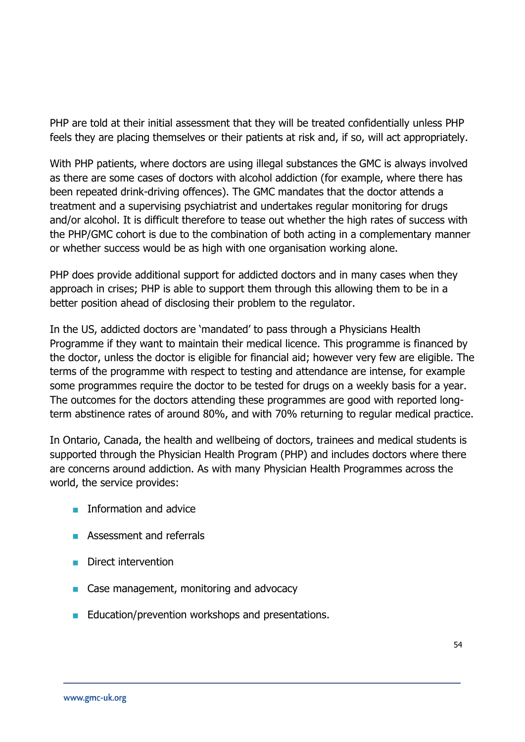PHP are told at their initial assessment that they will be treated confidentially unless PHP feels they are placing themselves or their patients at risk and, if so, will act appropriately.

With PHP patients, where doctors are using illegal substances the GMC is always involved as there are some cases of doctors with alcohol addiction (for example, where there has been repeated drink-driving offences). The GMC mandates that the doctor attends a treatment and a supervising psychiatrist and undertakes regular monitoring for drugs and/or alcohol. It is difficult therefore to tease out whether the high rates of success with the PHP/GMC cohort is due to the combination of both acting in a complementary manner or whether success would be as high with one organisation working alone.

PHP does provide additional support for addicted doctors and in many cases when they approach in crises; PHP is able to support them through this allowing them to be in a better position ahead of disclosing their problem to the regulator.

In the US, addicted doctors are 'mandated' to pass through a Physicians Health Programme if they want to maintain their medical licence. This programme is financed by the doctor, unless the doctor is eligible for financial aid; however very few are eligible. The terms of the programme with respect to testing and attendance are intense, for example some programmes require the doctor to be tested for drugs on a weekly basis for a year. The outcomes for the doctors attending these programmes are good with reported longterm abstinence rates of around 80%, and with 70% returning to regular medical practice.

In Ontario, Canada, the health and wellbeing of doctors, trainees and medical students is supported through the Physician Health Program (PHP) and includes doctors where there are concerns around addiction. As with many Physician Health Programmes across the world, the service provides:

- **Information and advice**
- **Assessment and referrals**
- **Direct intervention**
- Case management, monitoring and advocacy
- Education/prevention workshops and presentations.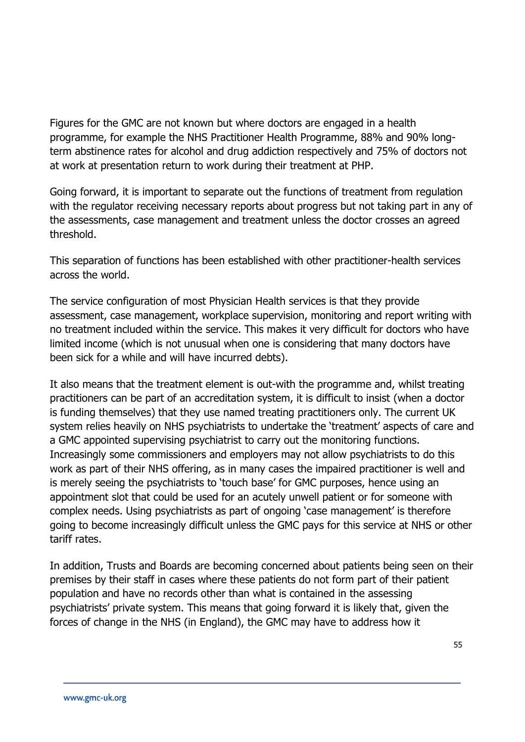Figures for the GMC are not known but where doctors are engaged in a health programme, for example the NHS Practitioner Health Programme, 88% and 90% longterm abstinence rates for alcohol and drug addiction respectively and 75% of doctors not at work at presentation return to work during their treatment at PHP.

Going forward, it is important to separate out the functions of treatment from regulation with the regulator receiving necessary reports about progress but not taking part in any of the assessments, case management and treatment unless the doctor crosses an agreed threshold.

This separation of functions has been established with other practitioner-health services across the world.

The service configuration of most Physician Health services is that they provide assessment, case management, workplace supervision, monitoring and report writing with no treatment included within the service. This makes it very difficult for doctors who have limited income (which is not unusual when one is considering that many doctors have been sick for a while and will have incurred debts).

It also means that the treatment element is out-with the programme and, whilst treating practitioners can be part of an accreditation system, it is difficult to insist (when a doctor is funding themselves) that they use named treating practitioners only. The current UK system relies heavily on NHS psychiatrists to undertake the 'treatment' aspects of care and a GMC appointed supervising psychiatrist to carry out the monitoring functions. Increasingly some commissioners and employers may not allow psychiatrists to do this work as part of their NHS offering, as in many cases the impaired practitioner is well and is merely seeing the psychiatrists to 'touch base' for GMC purposes, hence using an appointment slot that could be used for an acutely unwell patient or for someone with complex needs. Using psychiatrists as part of ongoing 'case management' is therefore going to become increasingly difficult unless the GMC pays for this service at NHS or other tariff rates.

In addition, Trusts and Boards are becoming concerned about patients being seen on their premises by their staff in cases where these patients do not form part of their patient population and have no records other than what is contained in the assessing psychiatrists' private system. This means that going forward it is likely that, given the forces of change in the NHS (in England), the GMC may have to address how it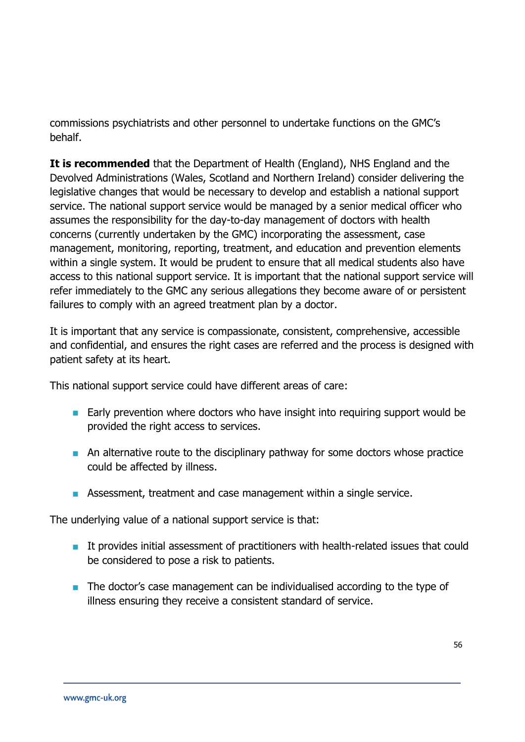commissions psychiatrists and other personnel to undertake functions on the GMC's behalf.

**It is recommended** that the Department of Health (England), NHS England and the Devolved Administrations (Wales, Scotland and Northern Ireland) consider delivering the legislative changes that would be necessary to develop and establish a national support service. The national support service would be managed by a senior medical officer who assumes the responsibility for the day-to-day management of doctors with health concerns (currently undertaken by the GMC) incorporating the assessment, case management, monitoring, reporting, treatment, and education and prevention elements within a single system. It would be prudent to ensure that all medical students also have access to this national support service. It is important that the national support service will refer immediately to the GMC any serious allegations they become aware of or persistent failures to comply with an agreed treatment plan by a doctor.

It is important that any service is compassionate, consistent, comprehensive, accessible and confidential, and ensures the right cases are referred and the process is designed with patient safety at its heart.

This national support service could have different areas of care:

- **Early prevention where doctors who have insight into requiring support would be** provided the right access to services.
- An alternative route to the disciplinary pathway for some doctors whose practice could be affected by illness.
- Assessment, treatment and case management within a single service.

The underlying value of a national support service is that:

- **If provides initial assessment of practitioners with health-related issues that could** be considered to pose a risk to patients.
- The doctor's case management can be individualised according to the type of illness ensuring they receive a consistent standard of service.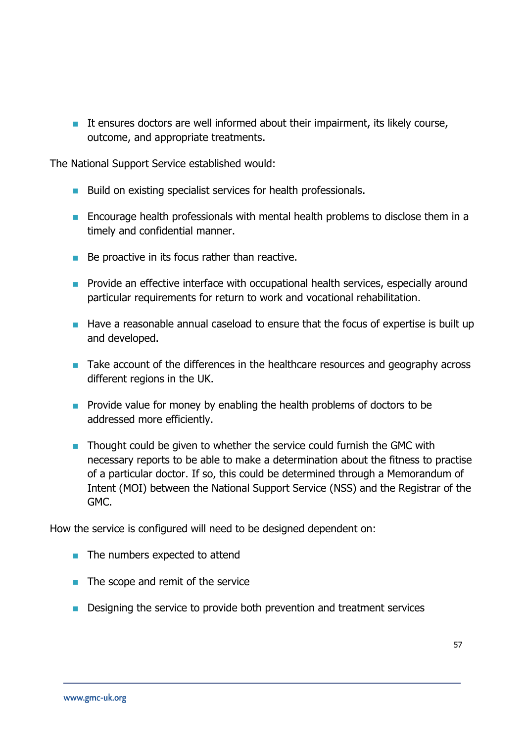$\blacksquare$  It ensures doctors are well informed about their impairment, its likely course, outcome, and appropriate treatments.

The National Support Service established would:

- Build on existing specialist services for health professionals.
- **Encourage health professionals with mental health problems to disclose them in a** timely and confidential manner.
- $\blacksquare$  Be proactive in its focus rather than reactive.
- **Provide an effective interface with occupational health services, especially around** particular requirements for return to work and vocational rehabilitation.
- **Have a reasonable annual caseload to ensure that the focus of expertise is built up** and developed.
- Take account of the differences in the healthcare resources and geography across different regions in the UK.
- **Provide value for money by enabling the health problems of doctors to be** addressed more efficiently.
- $\blacksquare$  Thought could be given to whether the service could furnish the GMC with necessary reports to be able to make a determination about the fitness to practise of a particular doctor. If so, this could be determined through a Memorandum of Intent (MOI) between the National Support Service (NSS) and the Registrar of the GMC.

How the service is configured will need to be designed dependent on:

- The numbers expected to attend
- $\blacksquare$  The scope and remit of the service
- **Designing the service to provide both prevention and treatment services**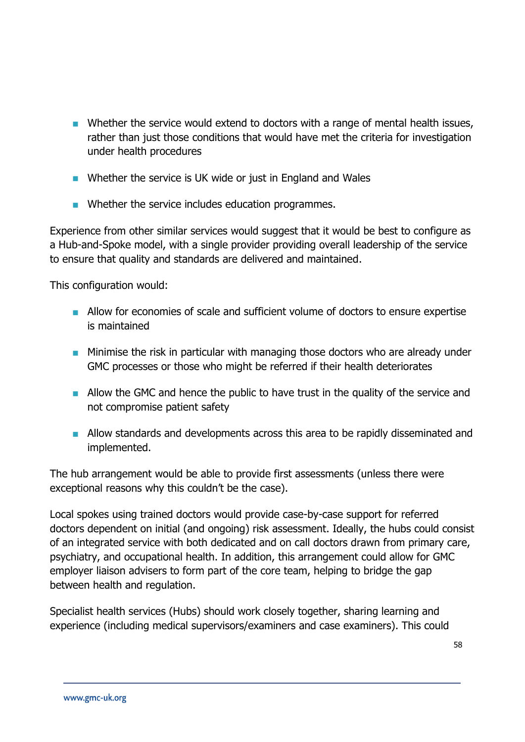- **Number 1** Whether the service would extend to doctors with a range of mental health issues, rather than just those conditions that would have met the criteria for investigation under health procedures
- Whether the service is UK wide or just in England and Wales
- **Number 19 Mether the service includes education programmes.**

Experience from other similar services would suggest that it would be best to configure as a Hub-and-Spoke model, with a single provider providing overall leadership of the service to ensure that quality and standards are delivered and maintained.

This configuration would:

- Allow for economies of scale and sufficient volume of doctors to ensure expertise is maintained
- **Minimise the risk in particular with managing those doctors who are already under** GMC processes or those who might be referred if their health deteriorates
- **Allow the GMC and hence the public to have trust in the quality of the service and** not compromise patient safety
- **Allow standards and developments across this area to be rapidly disseminated and** implemented.

The hub arrangement would be able to provide first assessments (unless there were exceptional reasons why this couldn't be the case).

Local spokes using trained doctors would provide case-by-case support for referred doctors dependent on initial (and ongoing) risk assessment. Ideally, the hubs could consist of an integrated service with both dedicated and on call doctors drawn from primary care, psychiatry, and occupational health. In addition, this arrangement could allow for GMC employer liaison advisers to form part of the core team, helping to bridge the gap between health and regulation.

Specialist health services (Hubs) should work closely together, sharing learning and experience (including medical supervisors/examiners and case examiners). This could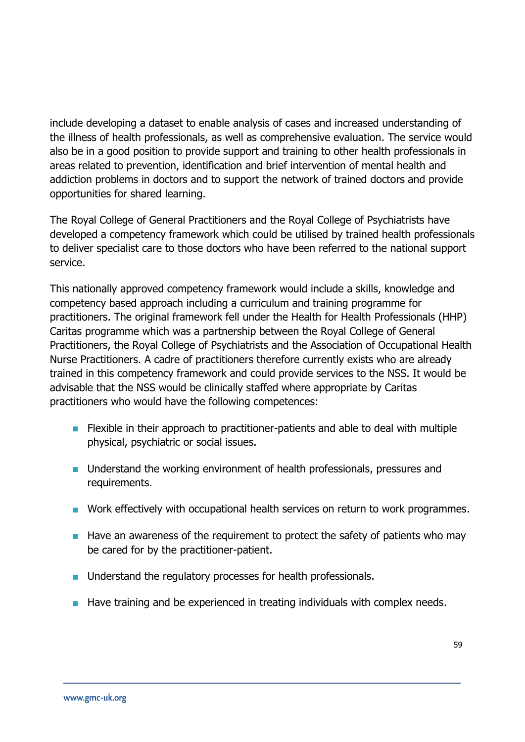include developing a dataset to enable analysis of cases and increased understanding of the illness of health professionals, as well as comprehensive evaluation. The service would also be in a good position to provide support and training to other health professionals in areas related to prevention, identification and brief intervention of mental health and addiction problems in doctors and to support the network of trained doctors and provide opportunities for shared learning.

The Royal College of General Practitioners and the Royal College of Psychiatrists have developed a competency framework which could be utilised by trained health professionals to deliver specialist care to those doctors who have been referred to the national support service.

This nationally approved competency framework would include a skills, knowledge and competency based approach including a curriculum and training programme for practitioners. The original framework fell under the Health for Health Professionals (HHP) Caritas programme which was a partnership between the Royal College of General Practitioners, the Royal College of Psychiatrists and the Association of Occupational Health Nurse Practitioners. A cadre of practitioners therefore currently exists who are already trained in this competency framework and could provide services to the NSS. It would be advisable that the NSS would be clinically staffed where appropriate by Caritas practitioners who would have the following competences:

- **Figure 1** Flexible in their approach to practitioner-patients and able to deal with multiple physical, psychiatric or social issues.
- **Understand the working environment of health professionals, pressures and** requirements.
- Work effectively with occupational health services on return to work programmes.
- $\blacksquare$  Have an awareness of the requirement to protect the safety of patients who may be cared for by the practitioner-patient.
- **Understand the regulatory processes for health professionals.**
- **Have training and be experienced in treating individuals with complex needs.**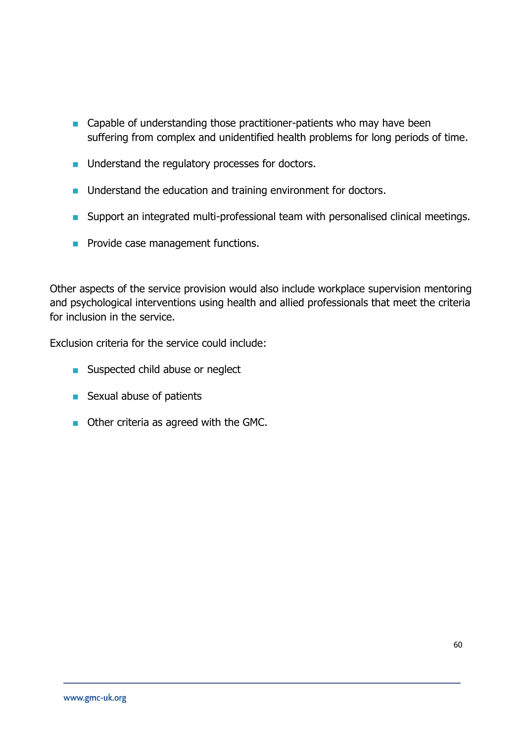- Capable of understanding those practitioner-patients who may have been suffering from complex and unidentified health problems for long periods of time.
- **u.** Understand the regulatory processes for doctors.
- **If** Understand the education and training environment for doctors.
- **Support an integrated multi-professional team with personalised clinical meetings.**
- **Provide case management functions.**

Other aspects of the service provision would also include workplace supervision mentoring and psychological interventions using health and allied professionals that meet the criteria for inclusion in the service.

Exclusion criteria for the service could include:

- **Suspected child abuse or neglect**
- Sexual abuse of patients
- **Other criteria as agreed with the GMC.**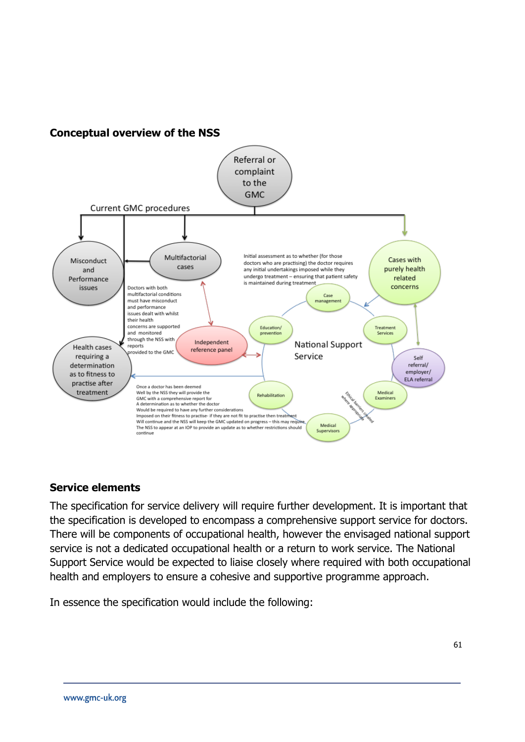



#### **Service elements**

The specification for service delivery will require further development. It is important that the specification is developed to encompass a comprehensive support service for doctors. There will be components of occupational health, however the envisaged national support service is not a dedicated occupational health or a return to work service. The National Support Service would be expected to liaise closely where required with both occupational health and employers to ensure a cohesive and supportive programme approach.

In essence the specification would include the following: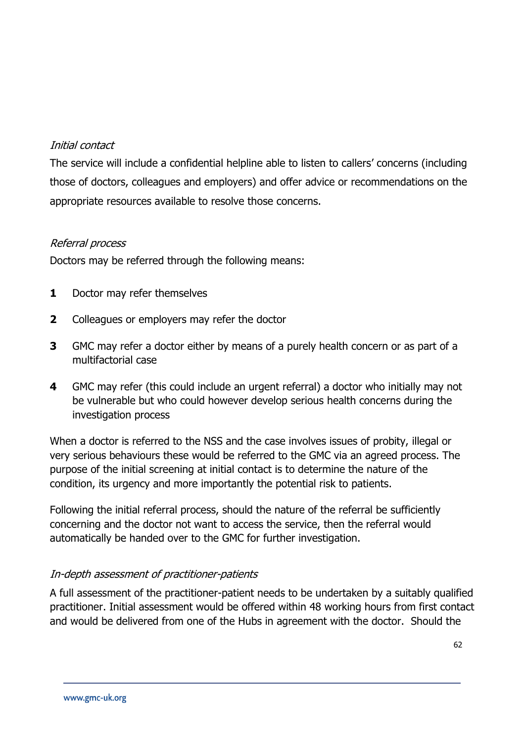#### Initial contact

The service will include a confidential helpline able to listen to callers' concerns (including those of doctors, colleagues and employers) and offer advice or recommendations on the appropriate resources available to resolve those concerns.

#### Referral process

Doctors may be referred through the following means:

- **1** Doctor may refer themselves
- **2** Colleagues or employers may refer the doctor
- **3** GMC may refer a doctor either by means of a purely health concern or as part of a multifactorial case
- **4** GMC may refer (this could include an urgent referral) a doctor who initially may not be vulnerable but who could however develop serious health concerns during the investigation process

When a doctor is referred to the NSS and the case involves issues of probity, illegal or very serious behaviours these would be referred to the GMC via an agreed process. The purpose of the initial screening at initial contact is to determine the nature of the condition, its urgency and more importantly the potential risk to patients.

Following the initial referral process, should the nature of the referral be sufficiently concerning and the doctor not want to access the service, then the referral would automatically be handed over to the GMC for further investigation.

# In-depth assessment of practitioner-patients

A full assessment of the practitioner-patient needs to be undertaken by a suitably qualified practitioner. Initial assessment would be offered within 48 working hours from first contact and would be delivered from one of the Hubs in agreement with the doctor. Should the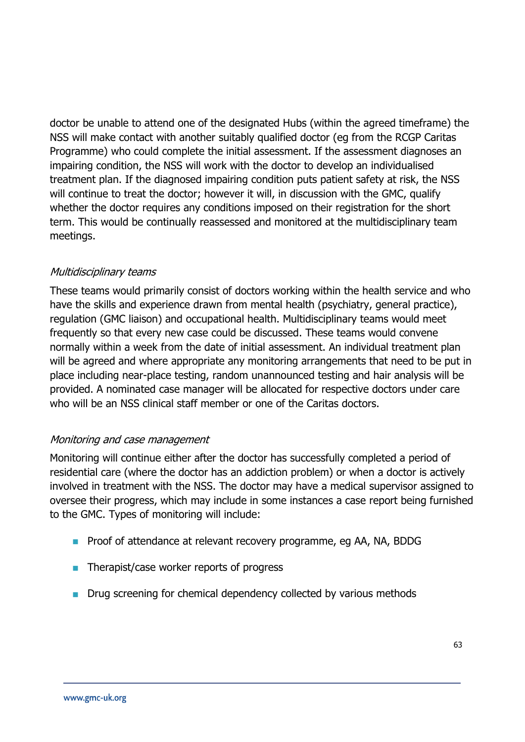doctor be unable to attend one of the designated Hubs (within the agreed timeframe) the NSS will make contact with another suitably qualified doctor (eg from the RCGP Caritas Programme) who could complete the initial assessment. If the assessment diagnoses an impairing condition, the NSS will work with the doctor to develop an individualised treatment plan. If the diagnosed impairing condition puts patient safety at risk, the NSS will continue to treat the doctor; however it will, in discussion with the GMC, qualify whether the doctor requires any conditions imposed on their registration for the short term. This would be continually reassessed and monitored at the multidisciplinary team meetings.

#### Multidisciplinary teams

These teams would primarily consist of doctors working within the health service and who have the skills and experience drawn from mental health (psychiatry, general practice), regulation (GMC liaison) and occupational health. Multidisciplinary teams would meet frequently so that every new case could be discussed. These teams would convene normally within a week from the date of initial assessment. An individual treatment plan will be agreed and where appropriate any monitoring arrangements that need to be put in place including near-place testing, random unannounced testing and hair analysis will be provided. A nominated case manager will be allocated for respective doctors under care who will be an NSS clinical staff member or one of the Caritas doctors.

#### Monitoring and case management

Monitoring will continue either after the doctor has successfully completed a period of residential care (where the doctor has an addiction problem) or when a doctor is actively involved in treatment with the NSS. The doctor may have a medical supervisor assigned to oversee their progress, which may include in some instances a case report being furnished to the GMC. Types of monitoring will include:

- **Proof of attendance at relevant recovery programme, eg AA, NA, BDDG**
- **Therapist/case worker reports of progress**
- **Drug screening for chemical dependency collected by various methods**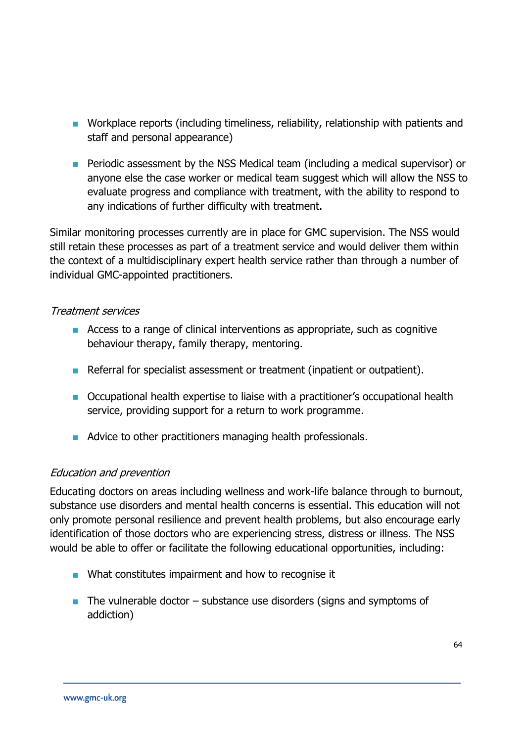- **Norkplace reports (including timeliness, reliability, relationship with patients and** staff and personal appearance)
- **Periodic assessment by the NSS Medical team (including a medical supervisor) or** anyone else the case worker or medical team suggest which will allow the NSS to evaluate progress and compliance with treatment, with the ability to respond to any indications of further difficulty with treatment.

Similar monitoring processes currently are in place for GMC supervision. The NSS would still retain these processes as part of a treatment service and would deliver them within the context of a multidisciplinary expert health service rather than through a number of individual GMC-appointed practitioners.

#### Treatment services

- Access to a range of clinical interventions as appropriate, such as cognitive behaviour therapy, family therapy, mentoring.
- Referral for specialist assessment or treatment (inpatient or outpatient).
- Occupational health expertise to liaise with a practitioner's occupational health service, providing support for a return to work programme.
- Advice to other practitioners managing health professionals.

# Education and prevention

Educating doctors on areas including wellness and work-life balance through to burnout, substance use disorders and mental health concerns is essential. This education will not only promote personal resilience and prevent health problems, but also encourage early identification of those doctors who are experiencing stress, distress or illness. The NSS would be able to offer or facilitate the following educational opportunities, including:

- What constitutes impairment and how to recognise it
- $\blacksquare$  The vulnerable doctor substance use disorders (signs and symptoms of addiction)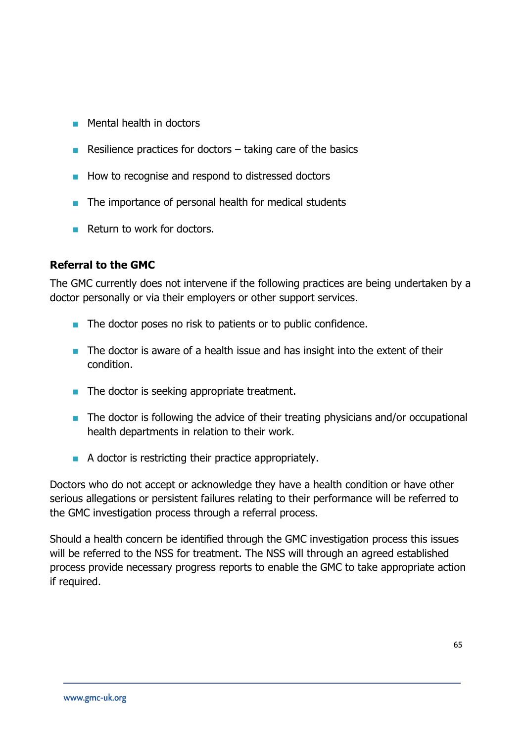- **Mental health in doctors**
- Resilience practices for doctors  $-$  taking care of the basics
- How to recognise and respond to distressed doctors
- The importance of personal health for medical students
- **Return to work for doctors.**

#### **Referral to the GMC**

The GMC currently does not intervene if the following practices are being undertaken by a doctor personally or via their employers or other support services.

- The doctor poses no risk to patients or to public confidence.
- The doctor is aware of a health issue and has insight into the extent of their condition.
- The doctor is seeking appropriate treatment.
- The doctor is following the advice of their treating physicians and/or occupational health departments in relation to their work.
- A doctor is restricting their practice appropriately.

Doctors who do not accept or acknowledge they have a health condition or have other serious allegations or persistent failures relating to their performance will be referred to the GMC investigation process through a referral process.

Should a health concern be identified through the GMC investigation process this issues will be referred to the NSS for treatment. The NSS will through an agreed established process provide necessary progress reports to enable the GMC to take appropriate action if required.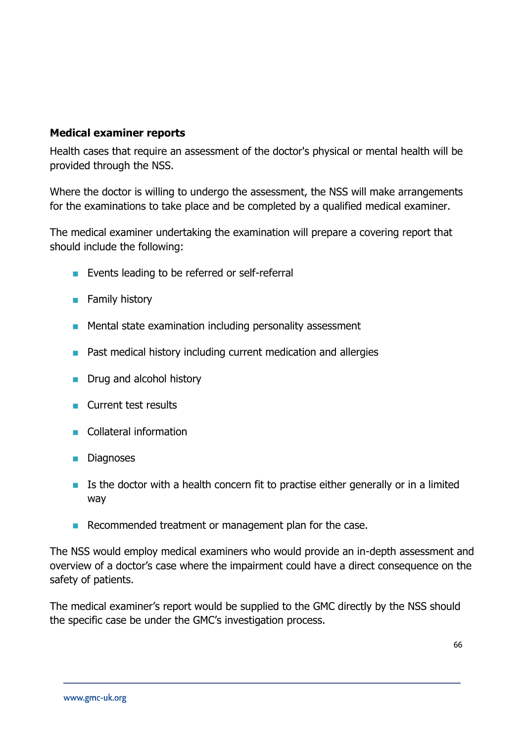#### **Medical examiner reports**

Health cases that require an assessment of the doctor's physical or mental health will be provided through the NSS.

Where the doctor is willing to undergo the assessment, the NSS will make arrangements for the examinations to take place and be completed by a qualified medical examiner.

The medical examiner undertaking the examination will prepare a covering report that should include the following:

- **Exents leading to be referred or self-referral**
- **Family history**
- **Mental state examination including personality assessment**
- **Past medical history including current medication and allergies**
- **Drug and alcohol history**
- **Current test results**
- Collateral information
- **Diagnoses**
- $\blacksquare$  Is the doctor with a health concern fit to practise either generally or in a limited way
- Recommended treatment or management plan for the case.

The NSS would employ medical examiners who would provide an in-depth assessment and overview of a doctor's case where the impairment could have a direct consequence on the safety of patients.

The medical examiner's report would be supplied to the GMC directly by the NSS should the specific case be under the GMC's investigation process.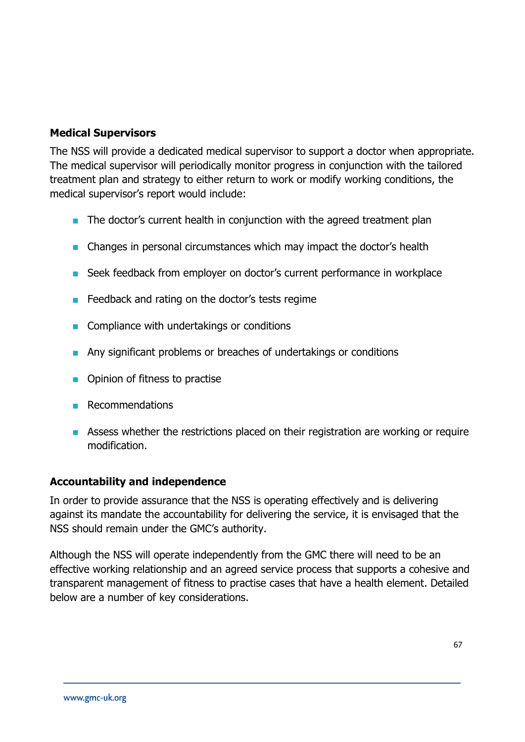# **Medical Supervisors**

The NSS will provide a dedicated medical supervisor to support a doctor when appropriate. The medical supervisor will periodically monitor progress in conjunction with the tailored treatment plan and strategy to either return to work or modify working conditions, the medical supervisor's report would include:

- **The doctor's current health in conjunction with the agreed treatment plan**
- **n** Changes in personal circumstances which may impact the doctor's health
- Seek feedback from employer on doctor's current performance in workplace
- **Feedback and rating on the doctor's tests regime**
- **Compliance with undertakings or conditions**
- **Any significant problems or breaches of undertakings or conditions**
- **•** Opinion of fitness to practise
- $R$ ecommendations
- **Assess whether the restrictions placed on their registration are working or require** modification.

#### **Accountability and independence**

In order to provide assurance that the NSS is operating effectively and is delivering against its mandate the accountability for delivering the service, it is envisaged that the NSS should remain under the GMC's authority.

Although the NSS will operate independently from the GMC there will need to be an effective working relationship and an agreed service process that supports a cohesive and transparent management of fitness to practise cases that have a health element. Detailed below are a number of key considerations.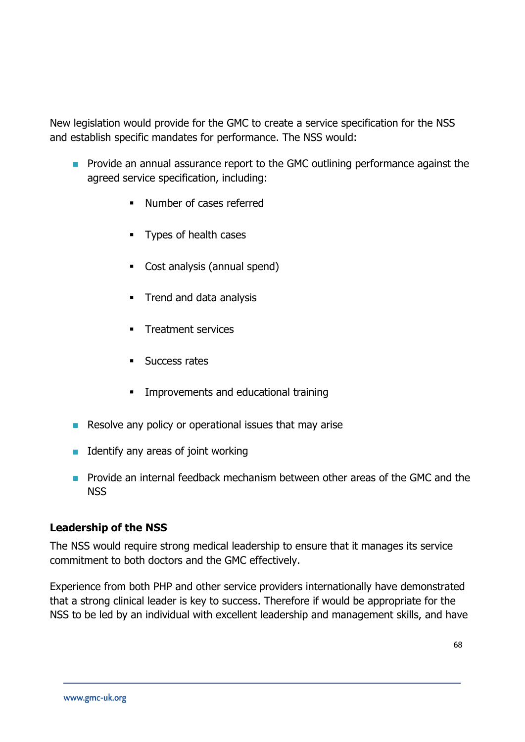New legislation would provide for the GMC to create a service specification for the NSS and establish specific mandates for performance. The NSS would:

- **Provide an annual assurance report to the GMC outlining performance against the** agreed service specification, including:
	- Number of cases referred
	- **Types of health cases**
	- Cost analysis (annual spend)
	- **Trend and data analysis**
	- Treatment services
	- **Success rates**
	- **IMPROPERENT** Improvements and educational training
- Resolve any policy or operational issues that may arise
- Identify any areas of joint working
- **Provide an internal feedback mechanism between other areas of the GMC and the** NSS

#### **Leadership of the NSS**

The NSS would require strong medical leadership to ensure that it manages its service commitment to both doctors and the GMC effectively.

Experience from both PHP and other service providers internationally have demonstrated that a strong clinical leader is key to success. Therefore if would be appropriate for the NSS to be led by an individual with excellent leadership and management skills, and have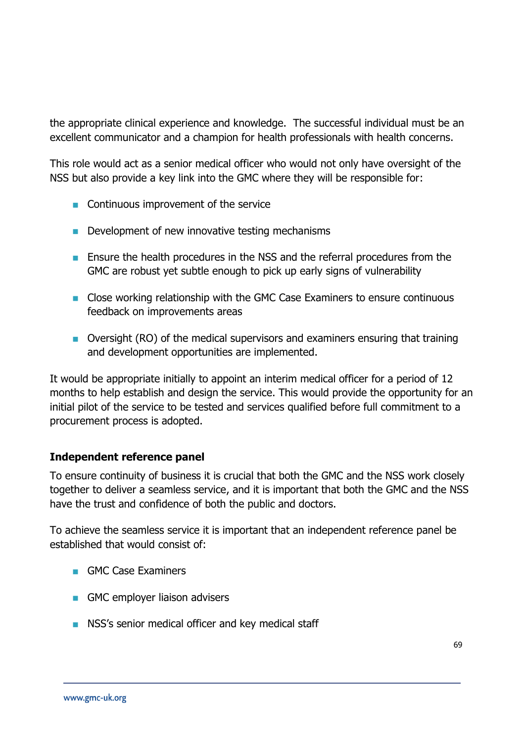the appropriate clinical experience and knowledge. The successful individual must be an excellent communicator and a champion for health professionals with health concerns.

This role would act as a senior medical officer who would not only have oversight of the NSS but also provide a key link into the GMC where they will be responsible for:

- **Continuous improvement of the service**
- Development of new innovative testing mechanisms
- **Ensure the health procedures in the NSS and the referral procedures from the** GMC are robust yet subtle enough to pick up early signs of vulnerability
- **Close working relationship with the GMC Case Examiners to ensure continuous** feedback on improvements areas
- Oversight (RO) of the medical supervisors and examiners ensuring that training and development opportunities are implemented.

It would be appropriate initially to appoint an interim medical officer for a period of 12 months to help establish and design the service. This would provide the opportunity for an initial pilot of the service to be tested and services qualified before full commitment to a procurement process is adopted.

# **Independent reference panel**

To ensure continuity of business it is crucial that both the GMC and the NSS work closely together to deliver a seamless service, and it is important that both the GMC and the NSS have the trust and confidence of both the public and doctors.

To achieve the seamless service it is important that an independent reference panel be established that would consist of:

- GMC Case Examiners
- GMC employer liaison advisers
- **NSS's senior medical officer and key medical staff**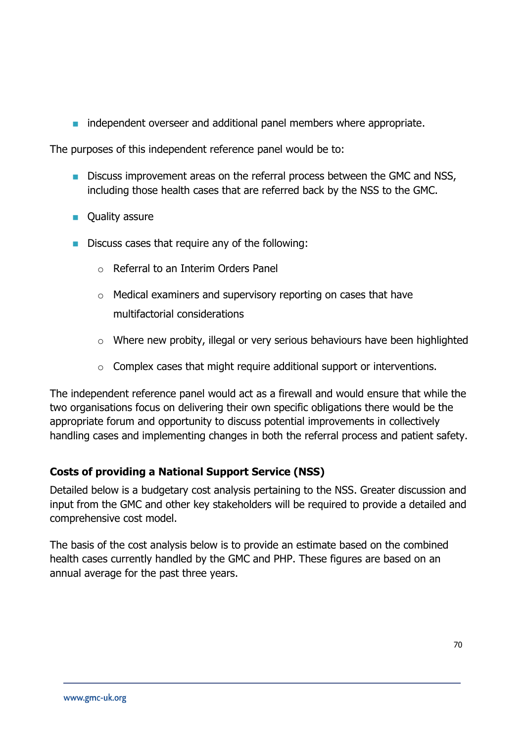**independent overseer and additional panel members where appropriate.** 

The purposes of this independent reference panel would be to:

- **Discuss improvement areas on the referral process between the GMC and NSS,** including those health cases that are referred back by the NSS to the GMC.
- **Quality assure**
- Discuss cases that require any of the following:
	- o Referral to an Interim Orders Panel
	- o Medical examiners and supervisory reporting on cases that have multifactorial considerations
	- o Where new probity, illegal or very serious behaviours have been highlighted
	- o Complex cases that might require additional support or interventions.

The independent reference panel would act as a firewall and would ensure that while the two organisations focus on delivering their own specific obligations there would be the appropriate forum and opportunity to discuss potential improvements in collectively handling cases and implementing changes in both the referral process and patient safety.

# **Costs of providing a National Support Service (NSS)**

Detailed below is a budgetary cost analysis pertaining to the NSS. Greater discussion and input from the GMC and other key stakeholders will be required to provide a detailed and comprehensive cost model.

The basis of the cost analysis below is to provide an estimate based on the combined health cases currently handled by the GMC and PHP. These figures are based on an annual average for the past three years.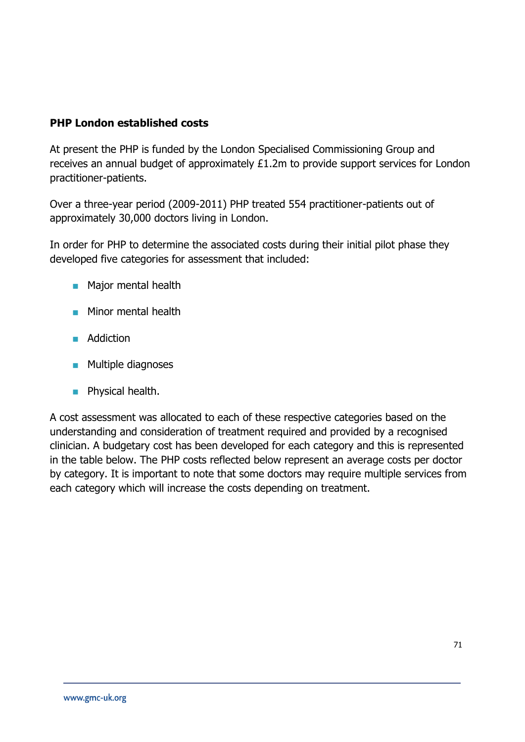# **PHP London established costs**

At present the PHP is funded by the London Specialised Commissioning Group and receives an annual budget of approximately £1.2m to provide support services for London practitioner-patients.

Over a three-year period (2009-2011) PHP treated 554 practitioner-patients out of approximately 30,000 doctors living in London.

In order for PHP to determine the associated costs during their initial pilot phase they developed five categories for assessment that included:

- **Major mental health**
- **Minor mental health**
- **Addiction**
- **Multiple diagnoses**
- **Physical health.**

A cost assessment was allocated to each of these respective categories based on the understanding and consideration of treatment required and provided by a recognised clinician. A budgetary cost has been developed for each category and this is represented in the table below. The PHP costs reflected below represent an average costs per doctor by category. It is important to note that some doctors may require multiple services from each category which will increase the costs depending on treatment.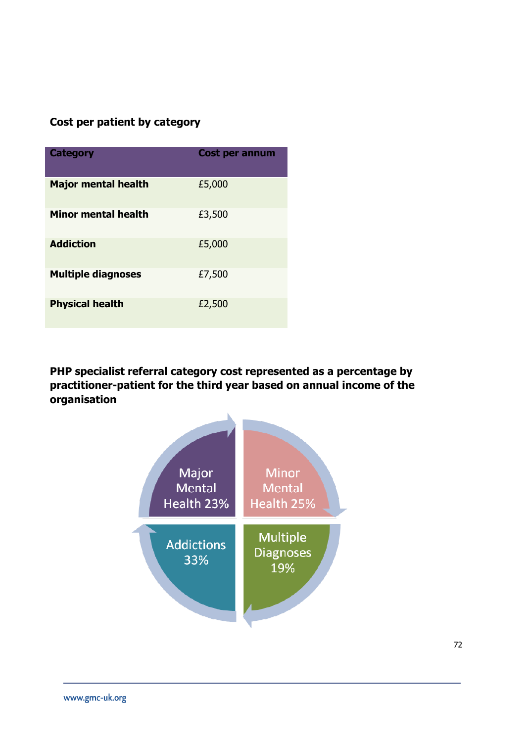# **Cost per patient by category**

| <b>Category</b>            | <b>Cost per annum</b> |
|----------------------------|-----------------------|
| <b>Major mental health</b> | £5,000                |
| <b>Minor mental health</b> | £3,500                |
| <b>Addiction</b>           | £5,000                |
| <b>Multiple diagnoses</b>  | £7,500                |
| <b>Physical health</b>     | £2,500                |

**PHP specialist referral category cost represented as a percentage by practitioner-patient for the third year based on annual income of the organisation**

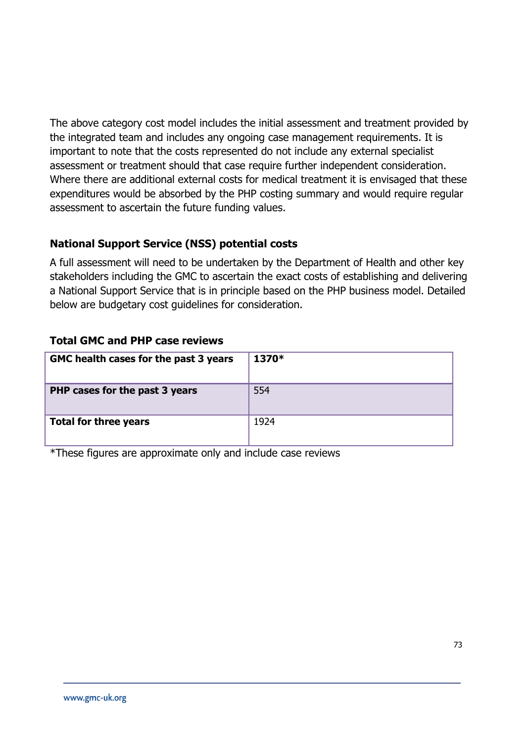The above category cost model includes the initial assessment and treatment provided by the integrated team and includes any ongoing case management requirements. It is important to note that the costs represented do not include any external specialist assessment or treatment should that case require further independent consideration. Where there are additional external costs for medical treatment it is envisaged that these expenditures would be absorbed by the PHP costing summary and would require regular assessment to ascertain the future funding values.

# **National Support Service (NSS) potential costs**

A full assessment will need to be undertaken by the Department of Health and other key stakeholders including the GMC to ascertain the exact costs of establishing and delivering a National Support Service that is in principle based on the PHP business model. Detailed below are budgetary cost guidelines for consideration.

#### **Total GMC and PHP case reviews**

| GMC health cases for the past 3 years | 1370* |
|---------------------------------------|-------|
| PHP cases for the past 3 years        | 554   |
| <b>Total for three years</b>          | 1924  |

\*These figures are approximate only and include case reviews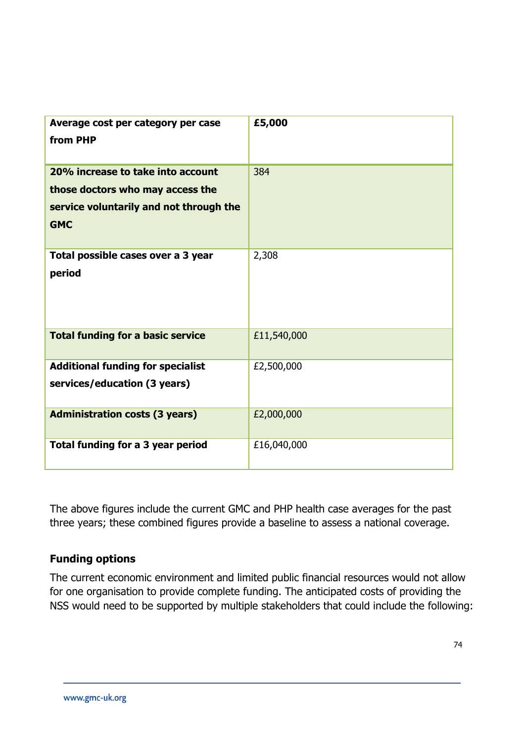| Average cost per category per case<br>from PHP                                                                                 | £5,000      |
|--------------------------------------------------------------------------------------------------------------------------------|-------------|
| 20% increase to take into account<br>those doctors who may access the<br>service voluntarily and not through the<br><b>GMC</b> | 384         |
| Total possible cases over a 3 year<br>period                                                                                   | 2,308       |
| <b>Total funding for a basic service</b>                                                                                       | £11,540,000 |
| <b>Additional funding for specialist</b><br>services/education (3 years)                                                       | £2,500,000  |
| <b>Administration costs (3 years)</b>                                                                                          | £2,000,000  |
| Total funding for a 3 year period                                                                                              | £16,040,000 |

The above figures include the current GMC and PHP health case averages for the past three years; these combined figures provide a baseline to assess a national coverage.

# **Funding options**

The current economic environment and limited public financial resources would not allow for one organisation to provide complete funding. The anticipated costs of providing the NSS would need to be supported by multiple stakeholders that could include the following: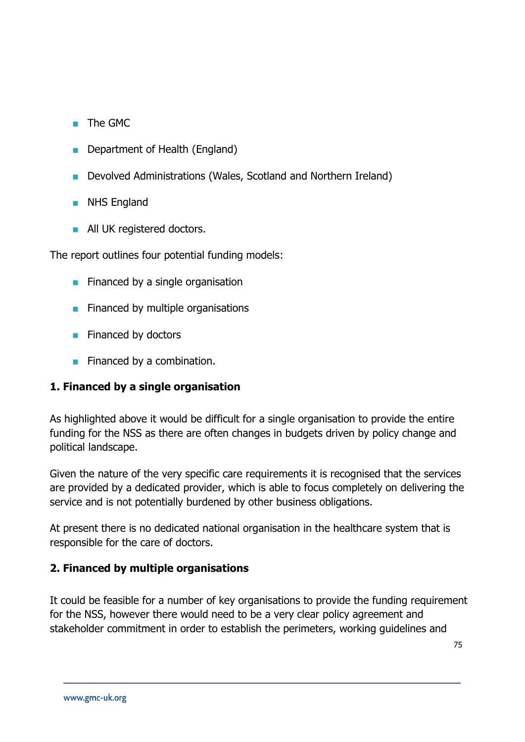- The GMC
- **Department of Health (England)**
- Devolved Administrations (Wales, Scotland and Northern Ireland)
- **NHS England**
- **All UK registered doctors.**

The report outlines four potential funding models:

- $\blacksquare$  Financed by a single organisation
- $\blacksquare$  Financed by multiple organisations
- $\blacksquare$  Financed by doctors
- $\blacksquare$  Financed by a combination.

# **1. Financed by a single organisation**

As highlighted above it would be difficult for a single organisation to provide the entire funding for the NSS as there are often changes in budgets driven by policy change and political landscape.

Given the nature of the very specific care requirements it is recognised that the services are provided by a dedicated provider, which is able to focus completely on delivering the service and is not potentially burdened by other business obligations.

At present there is no dedicated national organisation in the healthcare system that is responsible for the care of doctors.

# **2. Financed by multiple organisations**

It could be feasible for a number of key organisations to provide the funding requirement for the NSS, however there would need to be a very clear policy agreement and stakeholder commitment in order to establish the perimeters, working guidelines and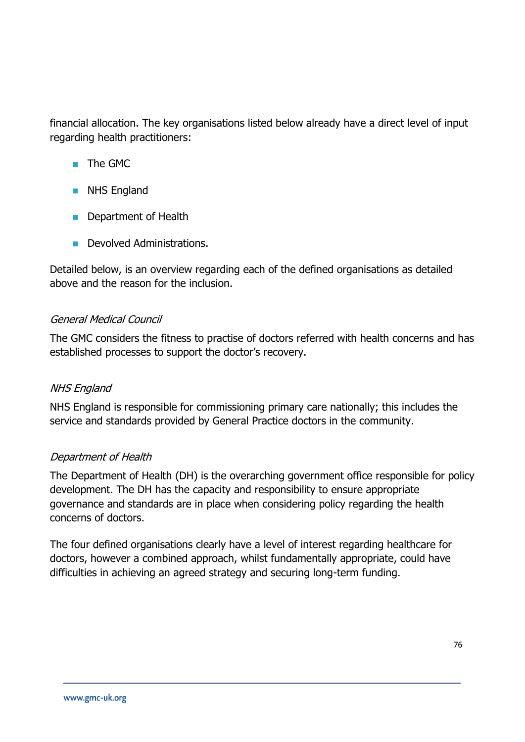financial allocation. The key organisations listed below already have a direct level of input regarding health practitioners:

- **The GMC**
- **NHS England**
- **Department of Health**
- **Devolved Administrations.**

Detailed below, is an overview regarding each of the defined organisations as detailed above and the reason for the inclusion.

#### General Medical Council

The GMC considers the fitness to practise of doctors referred with health concerns and has established processes to support the doctor's recovery.

# NHS England

NHS England is responsible for commissioning primary care nationally; this includes the service and standards provided by General Practice doctors in the community.

# Department of Health

The Department of Health (DH) is the overarching government office responsible for policy development. The DH has the capacity and responsibility to ensure appropriate governance and standards are in place when considering policy regarding the health concerns of doctors.

The four defined organisations clearly have a level of interest regarding healthcare for doctors, however a combined approach, whilst fundamentally appropriate, could have difficulties in achieving an agreed strategy and securing long-term funding.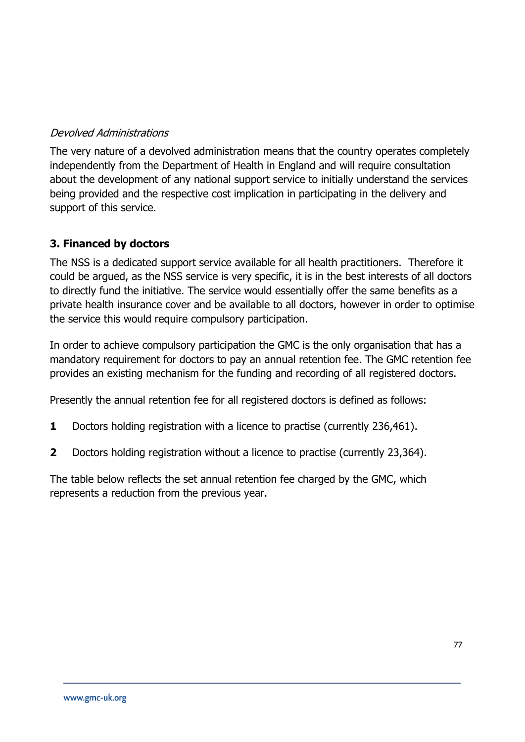# Devolved Administrations

The very nature of a devolved administration means that the country operates completely independently from the Department of Health in England and will require consultation about the development of any national support service to initially understand the services being provided and the respective cost implication in participating in the delivery and support of this service.

# **3. Financed by doctors**

The NSS is a dedicated support service available for all health practitioners. Therefore it could be argued, as the NSS service is very specific, it is in the best interests of all doctors to directly fund the initiative. The service would essentially offer the same benefits as a private health insurance cover and be available to all doctors, however in order to optimise the service this would require compulsory participation.

In order to achieve compulsory participation the GMC is the only organisation that has a mandatory requirement for doctors to pay an annual retention fee. The GMC retention fee provides an existing mechanism for the funding and recording of all registered doctors.

Presently the annual retention fee for all registered doctors is defined as follows:

- **1** Doctors holding registration with a licence to practise (currently 236,461).
- **2** Doctors holding registration without a licence to practise (currently 23,364).

The table below reflects the set annual retention fee charged by the GMC, which represents a reduction from the previous year.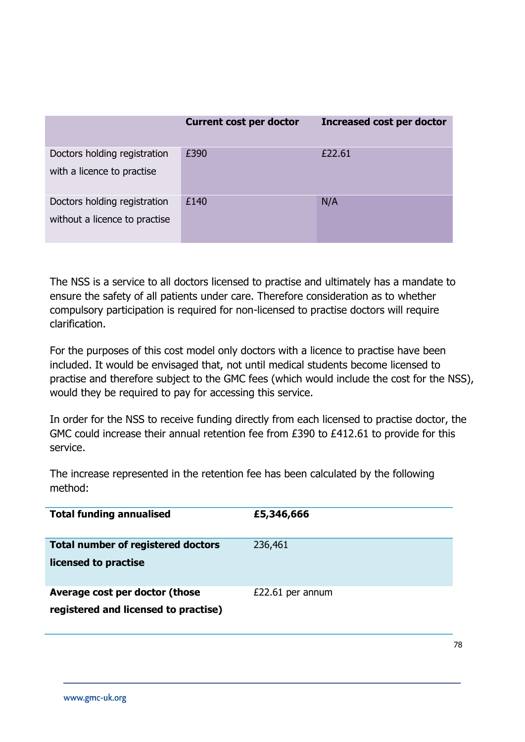|                                                               | <b>Current cost per doctor</b> | <b>Increased cost per doctor</b> |
|---------------------------------------------------------------|--------------------------------|----------------------------------|
| Doctors holding registration<br>with a licence to practise    | £390                           | £22.61                           |
| Doctors holding registration<br>without a licence to practise | £140                           | N/A                              |

The NSS is a service to all doctors licensed to practise and ultimately has a mandate to ensure the safety of all patients under care. Therefore consideration as to whether compulsory participation is required for non-licensed to practise doctors will require clarification.

For the purposes of this cost model only doctors with a licence to practise have been included. It would be envisaged that, not until medical students become licensed to practise and therefore subject to the GMC fees (which would include the cost for the NSS), would they be required to pay for accessing this service.

In order for the NSS to receive funding directly from each licensed to practise doctor, the GMC could increase their annual retention fee from £390 to £412.61 to provide for this service.

The increase represented in the retention fee has been calculated by the following method:

| <b>Total funding annualised</b>                                        | £5,346,666       |
|------------------------------------------------------------------------|------------------|
| <b>Total number of registered doctors</b><br>licensed to practise      | 236,461          |
| Average cost per doctor (those<br>registered and licensed to practise) | £22.61 per annum |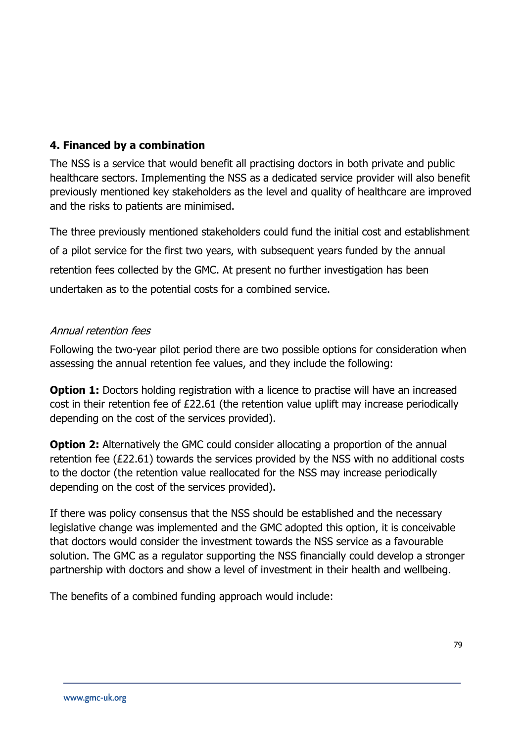# **4. Financed by a combination**

The NSS is a service that would benefit all practising doctors in both private and public healthcare sectors. Implementing the NSS as a dedicated service provider will also benefit previously mentioned key stakeholders as the level and quality of healthcare are improved and the risks to patients are minimised.

The three previously mentioned stakeholders could fund the initial cost and establishment of a pilot service for the first two years, with subsequent years funded by the annual retention fees collected by the GMC. At present no further investigation has been undertaken as to the potential costs for a combined service.

#### Annual retention fees

Following the two-year pilot period there are two possible options for consideration when assessing the annual retention fee values, and they include the following:

**Option 1:** Doctors holding registration with a licence to practise will have an increased cost in their retention fee of £22.61 (the retention value uplift may increase periodically depending on the cost of the services provided).

**Option 2:** Alternatively the GMC could consider allocating a proportion of the annual retention fee (£22.61) towards the services provided by the NSS with no additional costs to the doctor (the retention value reallocated for the NSS may increase periodically depending on the cost of the services provided).

If there was policy consensus that the NSS should be established and the necessary legislative change was implemented and the GMC adopted this option, it is conceivable that doctors would consider the investment towards the NSS service as a favourable solution. The GMC as a regulator supporting the NSS financially could develop a stronger partnership with doctors and show a level of investment in their health and wellbeing.

The benefits of a combined funding approach would include: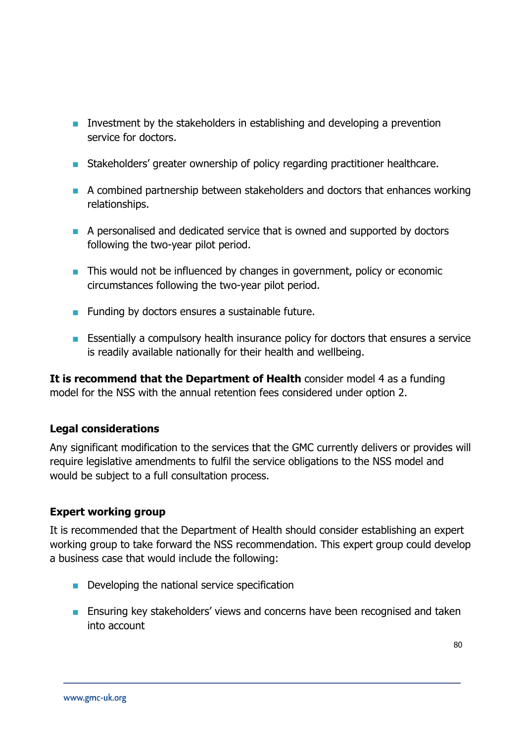- **Investment by the stakeholders in establishing and developing a prevention** service for doctors.
- **Stakeholders'** greater ownership of policy regarding practitioner healthcare.
- A combined partnership between stakeholders and doctors that enhances working relationships.
- A personalised and dedicated service that is owned and supported by doctors following the two-year pilot period.
- **This would not be influenced by changes in government, policy or economic** circumstances following the two-year pilot period.
- **Funding by doctors ensures a sustainable future.**
- **Essentially a compulsory health insurance policy for doctors that ensures a service** is readily available nationally for their health and wellbeing.

**It is recommend that the Department of Health** consider model 4 as a funding model for the NSS with the annual retention fees considered under option 2.

# **Legal considerations**

Any significant modification to the services that the GMC currently delivers or provides will require legislative amendments to fulfil the service obligations to the NSS model and would be subject to a full consultation process.

# **Expert working group**

It is recommended that the Department of Health should consider establishing an expert working group to take forward the NSS recommendation. This expert group could develop a business case that would include the following:

- Developing the national service specification
- **Ensuring key stakeholders' views and concerns have been recognised and taken** into account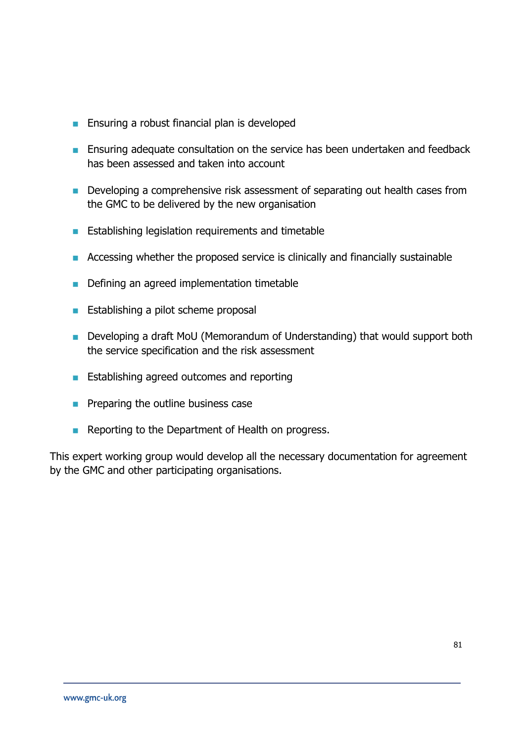- **Ensuring a robust financial plan is developed**
- **Ensuring adequate consultation on the service has been undertaken and feedback** has been assessed and taken into account
- **Developing a comprehensive risk assessment of separating out health cases from** the GMC to be delivered by the new organisation
- **Establishing legislation requirements and timetable**
- Accessing whether the proposed service is clinically and financially sustainable
- Defining an agreed implementation timetable
- **Establishing a pilot scheme proposal**
- **Developing a draft MoU (Memorandum of Understanding) that would support both** the service specification and the risk assessment
- **Establishing agreed outcomes and reporting**
- $\blacksquare$  Preparing the outline business case
- Reporting to the Department of Health on progress.

This expert working group would develop all the necessary documentation for agreement by the GMC and other participating organisations.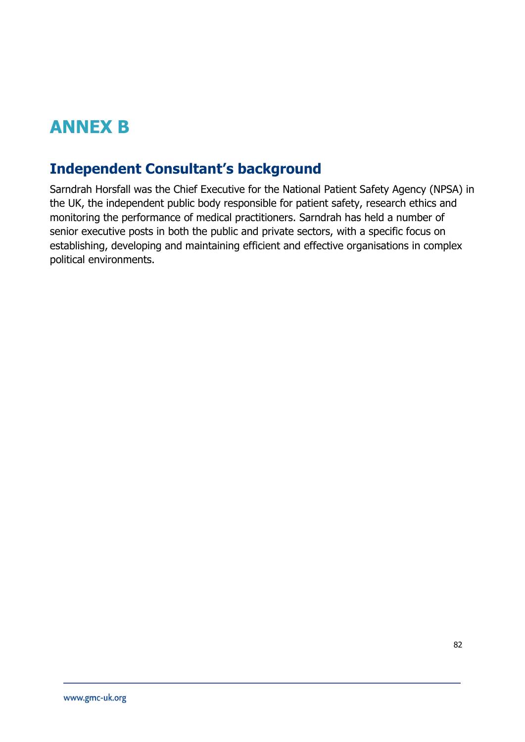# **ANNEX B**

# **Independent Consultant's background**

Sarndrah Horsfall was the Chief Executive for the National Patient Safety Agency (NPSA) in the UK, the independent public body responsible for patient safety, research ethics and monitoring the performance of medical practitioners. Sarndrah has held a number of senior executive posts in both the public and private sectors, with a specific focus on establishing, developing and maintaining efficient and effective organisations in complex political environments.